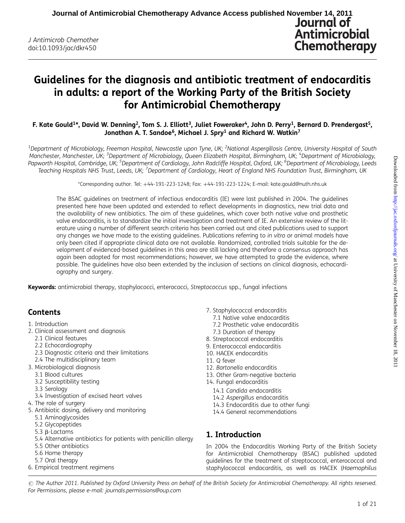# Guidelines for the diagnosis and antibiotic treatment of endocarditis in adults: a report of the Working Party of the British Society for Antimicrobial Chemotherapy

F. Kate Gould<sup>1\*</sup>, David W. Denning<sup>2</sup>, Tom S. J. Elliott<sup>3</sup>, Juliet Foweraker<sup>4</sup>, John D. Perry<sup>1</sup>, Bernard D. Prendergast<sup>5</sup>, Jonathan A. T. Sandoe<sup>6</sup>, Michael J. Spry<sup>1</sup> and Richard W. Watkin<sup>7</sup>

 $^{\rm 1}$ Department of Microbiology, Freeman Hospital, Newcastle upon Tyne, UK; <sup>2</sup>National Aspergillosis Centre, University Hospital of South Manchester, Manchester, UK; <sup>3</sup>Department of Microbiology, Queen Elizabeth Hospital, Birmingham, UK; <sup>4</sup>Department of Microbiology, Papworth Hospital, Cambridge, UK; <sup>5</sup>Department of Cardiology, John Radcliffe Hospital, Oxford, UK; <sup>6</sup>Department of Microbiology, Leeds Teaching Hospitals NHS Trust, Leeds, UK; <sup>7</sup>Department of Cardiology, Heart of England NHS Foundation Trust, Birmingham, UK

\*Corresponding author. Tel: +44-191-223-1248; Fax: +44-191-223-1224; E-mail: kate.gould@nuth.nhs.uk

The BSAC guidelines on treatment of infectious endocarditis (IE) were last published in 2004. The guidelines presented here have been updated and extended to reflect developments in diagnostics, new trial data and the availability of new antibiotics. The aim of these guidelines, which cover both native valve and prosthetic valve endocarditis, is to standardize the initial investigation and treatment of IE. An extensive review of the literature using a number of different search criteria has been carried out and cited publications used to support any changes we have made to the existing quidelines. Publications referring to in vitro or animal models have only been cited if appropriate clinical data are not available. Randomized, controlled trials suitable for the development of evidenced-based guidelines in this area are still lacking and therefore a consensus approach has again been adopted for most recommendations; however, we have attempted to grade the evidence, where possible. The guidelines have also been extended by the inclusion of sections on clinical diagnosis, echocardiography and surgery.

Keywords: antimicrobial therapy, staphylococci, enterococci, Streptococcus spp., fungal infections

## **Contents**

- 1. Introduction
- 2. Clinical assessment and diagnosis
	- 2.1 Clinical features
	- 2.2 Echocardiography
	- 2.3 Diagnostic criteria and their limitations
	- 2.4 The multidisciplinary team
- 3. Microbiological diagnosis
	- 3.1 Blood cultures
	- 3.2 Susceptibility testing
	- 3.3 Serology
	- 3.4 Investigation of excised heart valves
- 4. The role of surgery
- 5. Antibiotic dosing, delivery and monitoring
	- 5.1 Aminoglycosides
	- 5.2 Glycopeptides
	- 5.3  $\beta$ -Lactams
	- 5.4 Alternative antibiotics for patients with penicillin allergy
	- 5.5 Other antibiotics
	- 5.6 Home therapy
	- 5.7 Oral therapy
- 6. Empirical treatment regimens
- 7. Staphylococcal endocarditis
	- 7.1 Native valve endocarditis
	- 7.2 Prosthetic valve endocarditis
	- 7.3 Duration of therapy
- 8. Streptococcal endocarditis
- 9. Enterococcal endocarditis
- 10. HACEK endocarditis
- 11. Q fever
- 12. Bartonella endocarditis
- 13. Other Gram-negative bacteria
- 14. Fungal endocarditis
	- 14.1 Candida endocarditis
	- 14.2 Aspergillus endocarditis
	- 14.3 Endocarditis due to other fungi
	- 14.4 General recommendations

## 1. Introduction

In 2004 the Endocarditis Working Party of the British Society for Antimicrobial Chemotherapy (BSAC) published updated guidelines for the treatment of streptococcal, enterococcal and staphylococcal endocarditis, as well as HACEK (Haemophilus

 $\odot$  The Author 2011. Published by Oxford University Press on behalf of the British Society for Antimicrobial Chemotherapy. All rights reserved. For Permissions, please e-mail: journals.permissions@oup.com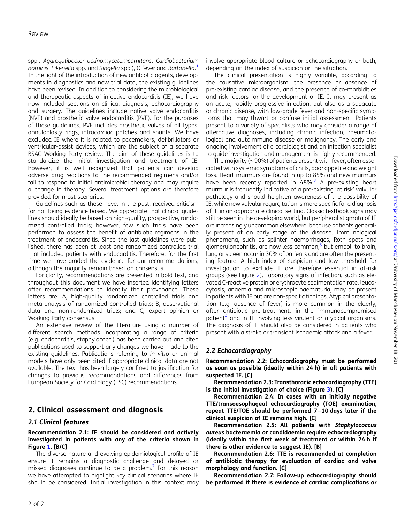spp., Aggregatibacter actinomycetemcomitans, Cardiobacterium hominis, Eikenella spp. and Kingella spp.), Q fever and Bartonella. $^{\rm 1}$  $^{\rm 1}$  $^{\rm 1}$ In the light of the introduction of new antibiotic agents, developments in diagnostics and new trial data, the existing guidelines have been revised. In addition to considering the microbiological and therapeutic aspects of infective endocarditis (IE), we have now included sections on clinical diagnosis, echocardiography and surgery. The guidelines include native valve endocarditis (NVE) and prosthetic valve endocarditis (PVE). For the purposes of these guidelines, PVE includes prosthetic valves of all types, annuloplasty rings, intracardiac patches and shunts. We have excluded IE where it is related to pacemakers, defibrillators or ventricular-assist devices, which are the subject of a separate BSAC Working Party review. The aim of these guidelines is to standardize the initial investigation and treatment of IE; however, it is well recognized that patients can develop adverse drug reactions to the recommended regimens and/or fail to respond to initial antimicrobial therapy and may require a change in therapy. Several treatment options are therefore provided for most scenarios.

Guidelines such as these have, in the past, received criticism for not being evidence based. We appreciate that clinical guidelines should ideally be based on high-quality, prospective, randomized controlled trials; however, few such trials have been performed to assess the benefit of antibiotic regimens in the treatment of endocarditis. Since the last guidelines were published, there has been at least one randomized controlled trial that included patients with endocarditis. Therefore, for the first time we have graded the evidence for our recommendations, although the majority remain based on consensus.

For clarity, recommendations are presented in bold text, and throughout this document we have inserted identifying letters after recommendations to identify their provenance. These letters are: A, high-quality randomized controlled trials and meta-analysis of randomized controlled trials; B, observational data and non-randomized trials; and C, expert opinion or Working Party consensus.

An extensive review of the literature using a number of different search methods incorporating a range of criteria (e.g. endocarditis, staphylococci) has been carried out and cited publications used to support any changes we have made to the existing guidelines. Publications referring to in vitro or animal models have only been cited if appropriate clinical data are not available. The text has been largely confined to justification for changes to previous recommendations and differences from European Society for Cardiology (ESC) recommendations.

## 2. Clinical assessment and diagnosis

#### 2.1 Clinical features

#### Recommendation 2.1: IE should be considered and actively investigated in patients with any of the criteria shown in Figure [1.](#page-2-0) [B/C]

The diverse nature and evolving epidemiological profile of IE ensure it remains a diagnostic challenge and delayed or missed diagnoses continue to be a problem.<sup>[2](#page-16-0)</sup> For this reason we have attempted to highlight key clinical scenarios where IE should be considered. Initial investigation in this context may involve appropriate blood culture or echocardiography or both, depending on the index of suspicion or the situation.

The clinical presentation is highly variable, according to the causative microorganism, the presence or absence of pre-existing cardiac disease, and the presence of co-morbidities and risk factors for the development of IE. It may present as an acute, rapidly progressive infection, but also as a subacute or chronic disease, with low-grade fever and non-specific symptoms that may thwart or confuse initial assessment. Patients present to a variety of specialists who may consider a range of alternative diagnoses, including chronic infection, rheumatological and autoimmune disease or malignancy. The early and ongoing involvement of a cardiologist and an infection specialist to guide investigation and management is highly recommended.

The majority ( $\sim$ 90%) of patients present with fever, often associated with systemic symptoms of chills, poor appetite and weight loss. Heart murmurs are found in up to 85% and new murmurs have been recently reported in  $48\%$ <sup>[3](#page-16-0)</sup> A pre-existing heart murmur is frequently indicative of a pre-existing 'at risk' valvular pathology and should heighten awareness of the possibility of IE, while new valvular regurgitation is more specific for a diagnosis of IE in an appropriate clinical setting. Classic textbook signs may still be seen in the developing world, but peripheral stigmata of IE are increasingly uncommon elsewhere, because patients generally present at an early stage of the disease. Immunological phenomena, such as splinter haemorrhages, Roth spots and glomerulonephritis, are now less common, $3$  but emboli to brain, lung or spleen occur in 30% of patients and are often the presenting feature. A high index of suspicion and low threshold for investigation to exclude IE are therefore essential in at-risk groups (see Figure [2](#page-3-0)). Laboratory signs of infection, such as elevated C-reactive protein or erythrocyte sedimentation rate, leucocytosis, anaemia and microscopic haematuria, may be present in patients with IE but are non-specific findings. Atypical presentation (e.g. absence of fever) is more common in the elderly, after antibiotic pre-treatment, in the immunocompromised patient $4$  and in IE involving less virulent or atypical organisms. The diagnosis of IE should also be considered in patients who present with a stroke or transient ischaemic attack and a fever.

### 2.2 Echocardiography

Recommendation 2.2: Echocardiography must be performed as soon as possible (ideally within 24 h) in all patients with suspected IE. [C]

Recommendation 2.3: Transthoracic echocardiography (TTE) is the initial investigation of choice (Figure [3\)](#page-3-0). [C]

Recommendation 2.4: In cases with an initially negative TTE/transoesophageal echocardiography (TOE) examination, repeat TTE/TOE should be performed 7–10 days later if the clinical suspicion of IE remains high. [C]

Recommendation 2.5: All patients with Staphylococcus aureus bacteraemia or candidaemia require echocardiography (ideally within the first week of treatment or within 24 h if there is other evidence to suggest IE). [B]

Recommendation 2.6: TTE is recommended at completion of antibiotic therapy for evaluation of cardiac and valve morphology and function. [C]

Recommendation 2.7: Follow-up echocardiography should be performed if there is evidence of cardiac complications or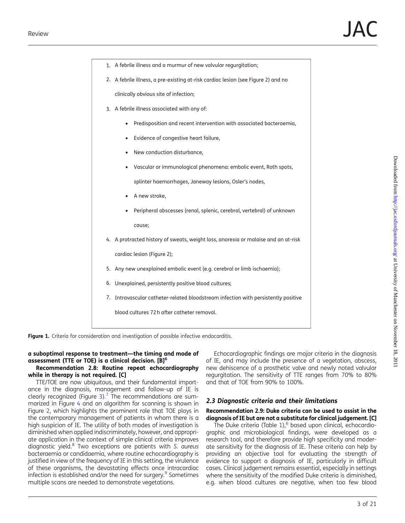<span id="page-2-0"></span>

| 1. A febrile illness and a murmur of new valvular regurgitation;                   |  |  |  |  |  |  |
|------------------------------------------------------------------------------------|--|--|--|--|--|--|
| 2. A febrile illness, a pre-existing at-risk cardiac lesion (see Figure 2) and no  |  |  |  |  |  |  |
| clinically obvious site of infection;                                              |  |  |  |  |  |  |
| 3. A febrile illness associated with any of:                                       |  |  |  |  |  |  |
| Predisposition and recent intervention with associated bacteraemia,                |  |  |  |  |  |  |
| Evidence of congestive heart failure,<br>$\bullet$                                 |  |  |  |  |  |  |
| New conduction disturbance,                                                        |  |  |  |  |  |  |
| Vascular or immunological phenomena: embolic event, Roth spots,<br>$\bullet$       |  |  |  |  |  |  |
| splinter haemorrhages, Janeway lesions, Osler's nodes,                             |  |  |  |  |  |  |
| A new stroke,                                                                      |  |  |  |  |  |  |
| Peripheral abscesses (renal, splenic, cerebral, vertebral) of unknown              |  |  |  |  |  |  |
| cause;                                                                             |  |  |  |  |  |  |
| 4. A protracted history of sweats, weight loss, anorexia or malaise and an at-risk |  |  |  |  |  |  |
| cardiac lesion (Figure 2);                                                         |  |  |  |  |  |  |
| 5. Any new unexplained embolic event (e.g. cerebral or limb ischaemia);            |  |  |  |  |  |  |
| 6. Unexplained, persistently positive blood cultures;                              |  |  |  |  |  |  |
| 7. Intravascular catheter-related bloodstream infection with persistently positive |  |  |  |  |  |  |
| blood cultures 72h after catheter removal.                                         |  |  |  |  |  |  |

Figure 1. Criteria for consideration and investigation of possible infective endocarditis.

#### a suboptimal response to treatment—the timing and mode of assessment (TTE or TOE) is a clinical decision.  $[B]^{6}$

#### Recommendation 2.8: Routine repeat echocardiography while in therapy is not required. [C]

TTE/TOE are now ubiquitous, and their fundamental importance in the diagnosis, management and follow-up of IE is clearly recognized (Figure [3](#page-3-0)).<sup>7</sup> The recommendations are summarized in Figure [4](#page-4-0) and an algorithm for scanning is shown in Figure [2](#page-3-0), which highlights the prominent role that TOE plays in the contemporary management of patients in whom there is a high suspicion of IE. The utility of both modes of investigation is diminished when applied indiscriminately, however, and appropriate application in the context of simple clinical criteria improves diagnostic yield.<sup>[8](#page-16-0)</sup> Two exceptions are patients with S. aureus bacteraemia or candidaemia, where routine echocardiography is justified in view of the frequency of IE in this setting, the virulence of these organisms, the devastating effects once intracardiac infection is established and/or the need for surgery.<sup>9</sup> Sometimes multiple scans are needed to demonstrate vegetations.

Echocardiographic findings are major criteria in the diagnosis of IE, and may include the presence of a vegetation, abscess, new dehiscence of a prosthetic valve and newly noted valvular regurgitation. The sensitivity of TTE ranges from 70% to 80% and that of TOE from 90% to 100%.

### 2.3 Diagnostic criteria and their limitations

#### Recommendation 2.9: Duke criteria can be used to assist in the diagnosis of IE but are not a substitute for clinical judgement. [C]

The Duke criteria (Table [1](#page-4-0)),<sup>[6](#page-16-0)</sup> based upon clinical, echocardiographic and microbiological findings, were developed as a research tool, and therefore provide high specificity and moderate sensitivity for the diagnosis of IE. These criteria can help by providing an objective tool for evaluating the strength of evidence to support a diagnosis of IE, particularly in difficult cases. Clinical judgement remains essential, especially in settings where the sensitivity of the modified Duke criteria is diminished, e.g. when blood cultures are negative, when too few blood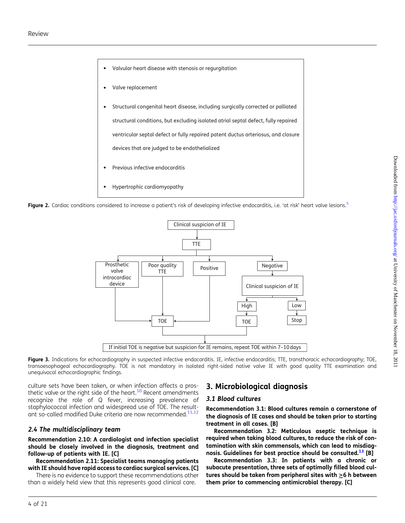- <span id="page-3-0"></span>Valvular heart disease with stenosis or regurgitation •
- Valve replacement •
- Structural congenital heart disease, including surgically corrected or palliated structural conditions, but excluding isolated atrial septal defect, fully repaired ventricular septal defect or fully repaired patent ductus arteriosus, and closure devices that are judged to be endothelialized •
- Previous infective endocarditis •
- Hypertrophic cardiomyopathy •

Figure 2. Cardiac conditions considered to increase a patient's risk of developing infective endocarditis, i.e. 'at risk' heart valve lesions.<sup>5</sup>



Figure 3. Indications for echocardiography in suspected infective endocarditis. IE, infective endocarditis; TTE, transthoracic echocardiography; TOE, transoesophageal echocardiography. TOE is not mandatory in isolated right-sided native valve IE with good quality TTE examination and unequivocal echocardiographic findings.

culture sets have been taken, or when infection affects a pros-thetic valve or the right side of the heart.<sup>[10](#page-16-0)</sup> Recent amendments recognize the role of Q fever, increasing prevalence of staphylococcal infection and widespread use of TOE. The result-ant so-called modified Duke criteria are now recommended.<sup>11,[12](#page-16-0)</sup>

#### 2.4 The multidisciplinary team

Recommendation 2.10: A cardiologist and infection specialist should be closely involved in the diagnosis, treatment and follow-up of patients with IE. [C]

Recommendation 2.11: Specialist teams managing patients with IE should have rapid access to cardiac surgical services. [C]

There is no evidence to support these recommendations other than a widely held view that this represents good clinical care.

### 3. Microbiological diagnosis

#### 3.1 Blood cultures

Recommendation 3.1: Blood cultures remain a cornerstone of the diagnosis of IE cases and should be taken prior to starting treatment in all cases. [B]

Recommendation 3.2: Meticulous aseptic technique is required when taking blood cultures, to reduce the risk of contamination with skin commensals, which can lead to misdiag-nosis. Guidelines for best practice should be consulted.<sup>[13](#page-16-0)</sup> [B]

Recommendation 3.3: In patients with a chronic or subacute presentation, three sets of optimally filled blood cultures should be taken from peripheral sites with  $\geq$ 6 h between them prior to commencing antimicrobial therapy. [C]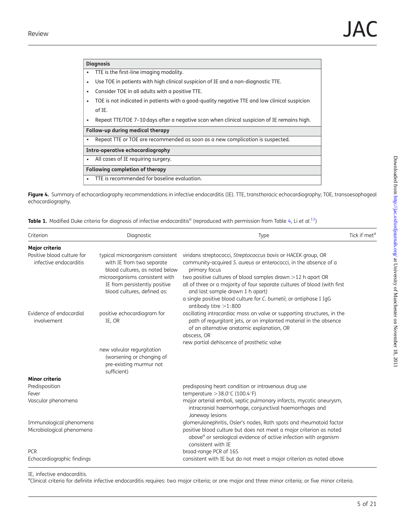<span id="page-4-0"></span>

| <b>Diagnosis</b>                                                                                        |
|---------------------------------------------------------------------------------------------------------|
| TTE is the first-line imaging modality.                                                                 |
| Use TOE in patients with high clinical suspicion of IE and a non-diagnostic TTE.<br>٠                   |
| Consider TOE in all adults with a positive TTE.<br>٠                                                    |
| TOE is not indicated in patients with a good-quality negative TTE and low clinical suspicion<br>٠       |
| of IE.                                                                                                  |
| Repeat TTE/TOE 7-10 days after a negative scan when clinical suspicion of IE remains high.<br>$\bullet$ |
| Follow-up during medical therapy                                                                        |
| Repeat TTE or TOE are recommended as soon as a new complication is suspected.<br>٠                      |
| Intra-operative echocardiography                                                                        |
| All cases of IE reguiring surgery.<br>$\bullet$                                                         |
| Following completion of therapy                                                                         |
| TTE is recommended for baseline evaluation.<br>$\bullet$                                                |

Figure 4. Summary of echocardiography recommendations in infective endocarditis (IE). TTE, transthoracic echocardiography; TOE, transoesophageal echocardiography.

**Table 1.** Modified Duke criteria for diagnosis of infective endocarditis<sup>a</sup> (reproduced with permission from Table [4](#page-11-0), Li *et al.*<sup>12</sup>)

| Criterion                                            | Diagnostic                                                                                                                                                                                        | Type                                                                                                                                                                                                                                                                                                                                                                                                                                 | Tick if met <sup>c</sup> |
|------------------------------------------------------|---------------------------------------------------------------------------------------------------------------------------------------------------------------------------------------------------|--------------------------------------------------------------------------------------------------------------------------------------------------------------------------------------------------------------------------------------------------------------------------------------------------------------------------------------------------------------------------------------------------------------------------------------|--------------------------|
| Major criteria                                       |                                                                                                                                                                                                   |                                                                                                                                                                                                                                                                                                                                                                                                                                      |                          |
| Positive blood culture for<br>infective endocarditis | typical microorganism consistent<br>with IE from two separate<br>blood cultures, as noted below<br>microorganisms consistent with<br>IE from persistently positive<br>blood cultures, defined as: | viridans streptococci, Streptococcus bovis or HACEK group, OR<br>community-acquired S. aureus or enterococci, in the absence of a<br>primary focus<br>two positive cultures of blood samples drawn >12 h apart OR<br>all of three or a majority of four separate cultures of blood (with first<br>and last sample drawn 1 h apart)<br>a single positive blood culture for C. burnetii; or antiphase I IgG<br>antibody titre $>1:800$ |                          |
| Evidence of endocardial<br>involvement               | positive echocardiogram for<br>IE, OR                                                                                                                                                             | oscillating intracardiac mass on valve or supporting structures, in the<br>path of regurgitant jets, or on implanted material in the absence<br>of an alternative anatomic explanation, OR<br>abscess, OR<br>new partial dehiscence of prosthetic valve                                                                                                                                                                              |                          |
|                                                      | new valvular regurgitation<br>(worsening or changing of<br>pre-existing murmur not<br>sufficient)                                                                                                 |                                                                                                                                                                                                                                                                                                                                                                                                                                      |                          |
| Minor criteria                                       |                                                                                                                                                                                                   |                                                                                                                                                                                                                                                                                                                                                                                                                                      |                          |
| Predisposition                                       |                                                                                                                                                                                                   | predisposing heart condition or intravenous drug use                                                                                                                                                                                                                                                                                                                                                                                 |                          |
| Fever<br>Vascular phenomena                          |                                                                                                                                                                                                   | temperature $>38.0^{\circ}$ C (100.4 $^{\circ}$ F)<br>major arterial emboli, septic pulmonary infarcts, mycotic aneurysm,<br>intracranial haemorrhage, conjunctival haemorrhages and<br>Janeway lesions                                                                                                                                                                                                                              |                          |
| Immunological phenomena<br>Microbiological phenomena |                                                                                                                                                                                                   | glomerulonephritis, Osler's nodes, Roth spots and rheumatoid factor<br>positive blood culture but does not meet a major criterion as noted<br>above <sup>a</sup> or serological evidence of active infection with organism<br>consistent with IE                                                                                                                                                                                     |                          |
| <b>PCR</b><br>Echocardiographic findings             |                                                                                                                                                                                                   | broad-range PCR of 16S<br>consistent with IE but do not meet a major criterion as noted above                                                                                                                                                                                                                                                                                                                                        |                          |

IE, infective endocarditis.

<sup>a</sup>Clinical criteria for definite infective endocarditis requires: two major criteria; or one major and three minor criteria; or five minor criteria.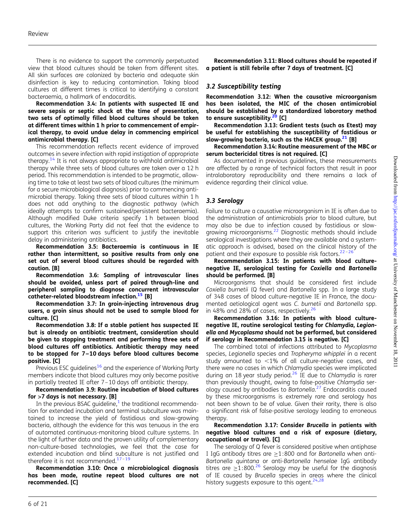There is no evidence to support the commonly perpetuated view that blood cultures should be taken from different sites. All skin surfaces are colonized by bacteria and adequate skin disinfection is key to reducing contamination. Taking blood cultures at different times is critical to identifying a constant bacteraemia, a hallmark of endocarditis.

#### Recommendation 3.4: In patients with suspected IE and severe sepsis or septic shock at the time of presentation, two sets of optimally filled blood cultures should be taken at different times within 1 h prior to commencement of empirical therapy, to avoid undue delay in commencing empirical antimicrobial therapy. [C]

This recommendation reflects recent evidence of improved outcomes in severe infection with rapid instigation of appropriate therapy.<sup>14</sup> It is not always appropriate to withhold antimicrobial therapy while three sets of blood cultures are taken over a 12 h period. This recommendation is intended to be pragmatic, allowing time to take at least two sets of blood cultures (the minimum for a secure microbiological diagnosis) prior to commencing antimicrobial therapy. Taking three sets of blood cultures within 1 h does not add anything to the diagnostic pathway (which ideally attempts to confirm sustained/persistent bacteraemia). Although modified Duke criteria specify 1 h between blood cultures, the Working Party did not feel that the evidence to support this criterion was sufficient to justify the inevitable delay in administering antibiotics.

Recommendation 3.5: Bacteraemia is continuous in IE rather than intermittent, so positive results from only one set out of several blood cultures should be regarded with caution. [B]

Recommendation 3.6: Sampling of intravascular lines should be avoided, unless part of paired through-line and peripheral sampling to diagnose concurrent intravascular catheter-related bloodstream infection.<sup>[15](#page-17-0)</sup> [B]

Recommendation 3.7: In groin-injecting intravenous drug users, a groin sinus should not be used to sample blood for culture. [C]

Recommendation 3.8: If a stable patient has suspected IE but is already on antibiotic treatment, consideration should be given to stopping treatment and performing three sets of blood cultures off antibiotics. Antibiotic therapy may need to be stopped for 7–10 days before blood cultures become positive. [C]

Previous ESC guidelines<sup>[16](#page-17-0)</sup> and the experience of Working Party members indicate that blood cultures may only become positive in partially treated IE after 7 –10 days off antibiotic therapy.

#### Recommendation 3.9: Routine incubation of blood cultures for >7 days is not necessary. [B]

In the previous BSAC guideline, $1$  the traditional recommendation for extended incubation and terminal subculture was maintained to increase the yield of fastidious and slow-growing bacteria, although the evidence for this was tenuous in the era of automated continuous-monitoring blood culture systems. In the light of further data and the proven utility of complementary non-culture-based technologies, we feel that the case for extended incubation and blind subculture is not justified and therefore it is not recommended.<sup>[17](#page-17-0)-[19](#page-17-0)</sup>

Recommendation 3.10: Once a microbiological diagnosis has been made, routine repeat blood cultures are not recommended. [C]

Recommendation 3.11: Blood cultures should be repeated if a patient is still febrile after 7 days of treatment. [C]

#### 3.2 Susceptibility testing

Recommendation 3.12: When the causative microorganism has been isolated, the MIC of the chosen antimicrobial should be established by a standardized laboratory method to ensure susceptibility.<sup>20</sup> [C]

Recommendation 3.13: Gradient tests (such as Etest) may be useful for establishing the susceptibility of fastidious or slow-growing bacteria, such as the HACEK group. $21$  [B]

Recommendation 3.14: Routine measurement of the MBC or serum bactericidal titres is not required. [C]

As documented in previous guidelines, these measurements are affected by a range of technical factors that result in poor intralaboratory reproducibility and there remains a lack of evidence regarding their clinical value.

### 3.3 Serology

Failure to culture a causative microorganism in IE is often due to the administration of antimicrobials prior to blood culture, but may also be due to infection caused by fastidious or slowgrowing microorganisms.[22](#page-17-0) Diagnostic methods should include serological investigations where they are available and a systematic approach is advised, based on the clinical history of the patient and their exposure to possible risk factors. $22 - 26$  $22 - 26$  $22 - 26$ 

Recommendation 3.15: In patients with blood culturenegative IE, serological testing for Coxiella and Bartonella should be performed. [B]

Microorganisms that should be considered first include Coxiella burnetii (Q fever) and Bartonella spp. In a large study of 348 cases of blood culture-negative IE in France, the documented aetiological agent was C. burnetii and Bartonella spp. in 48% and 28% of cases, respectively. $26$ 

#### Recommendation 3.16: In patients with blood culturenegative IE, routine serological testing for Chlamydia, Legionella and Mycoplasma should not be performed, but considered if serology in Recommendation 3.15 is negative. [C]

The combined total of infections attributed to Mycoplasma species, Legionella species and Tropheryma whipplei in a recent study amounted to  $<$ 1% of all culture-negative cases, and there were no cases in which Chlamydia species were implicated during an 18 year study period.<sup>[26](#page-17-0)</sup> IE due to Chlamydia is rarer than previously thought, owing to false-positive Chlamydia serology caused by antibodies to Bartonella. [27](#page-17-0) Endocarditis caused by these microorganisms is extremely rare and serology has not been shown to be of value. Given their rarity, there is also a significant risk of false-positive serology leading to erroneous therapy.

#### Recommendation 3.17: Consider Brucella in patients with negative blood cultures and a risk of exposure (dietary, occupational or travel). [C]

The serology of Q fever is considered positive when antiphase I IgG antibody titres are  $\geq$ 1:800 and for Bartonella when anti-Bartonella quintana or anti-Bartonella henselae IgG antibody titres are  $\geq$ 1:800.<sup>[26](#page-17-0)</sup> Serology may be useful for the diagnosis of IE caused by Brucella species in areas where the clinical history suggests exposure to this agent.<sup>[24,28](#page-17-0)</sup>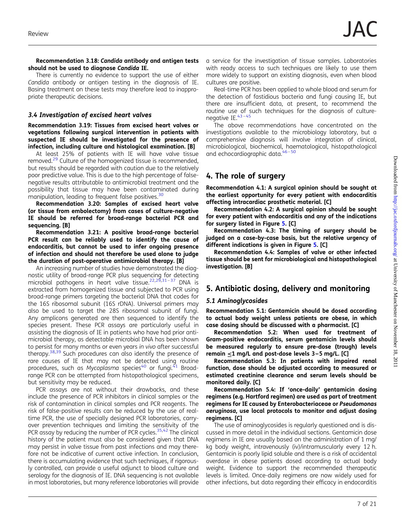Recommendation 3.18: Candida antibody and antigen tests should not be used to diagnose Candida IE.

There is currently no evidence to support the use of either Candida antibody or antigen testing in the diagnosis of IE. Basing treatment on these tests may therefore lead to inappropriate therapeutic decisions.

#### 3.4 Investigation of excised heart valves

Recommendation 3.19: Tissues from excised heart valves or vegetations following surgical intervention in patients with suspected IE should be investigated for the presence of infection, including culture and histological examination. [B]

At least 25% of patients with IE will have valve tissue removed.<sup>[29](#page-17-0)</sup> Culture of the homogenized tissue is recommended, but results should be regarded with caution due to the relatively poor predictive value. This is due to the high percentage of falsenegative results attributable to antimicrobial treatment and the possibility that tissue may have been contaminated during manipulation, leading to frequent false positives.<sup>[30](#page-17-0)</sup>

Recommendation 3.20: Samples of excised heart valve (or tissue from embolectomy) from cases of culture-negative IE should be referred for broad-range bacterial PCR and sequencing. [B]

Recommendation 3.21: A positive broad-range bacterial PCR result can be reliably used to identify the cause of endocarditis, but cannot be used to infer ongoing presence of infection and should not therefore be used alone to judge the duration of post-operative antimicrobial therapy. [B]

An increasing number of studies have demonstrated the diagnostic utility of broad-range PCR plus sequencing for detecting microbial pathogens in heart valve tissue.<sup>22,29,[31](#page-17-0)-[37](#page-17-0)</sup> DNA is extracted from homogenized tissue and subjected to PCR using broad-range primers targeting the bacterial DNA that codes for the 16S ribosomal subunit (16S rDNA). Universal primers may also be used to target the 28S ribosomal subunit of fungi. Any amplicons generated are then sequenced to identify the species present. These PCR assays are particularly useful in assisting the diagnosis of IE in patients who have had prior antimicrobial therapy, as detectable microbial DNA has been shown to persist for many months or even years in vivo after successful therapy.<sup>38,39</sup> Such procedures can also identify the presence of rare causes of IE that may not be detected using routine procedures, such as Mycoplasma species<sup>[40](#page-17-0)</sup> or fungi.<sup>[41](#page-17-0)</sup> Broadrange PCR can be attempted from histopathological specimens, but sensitivity may be reduced.

PCR assays are not without their drawbacks, and these include the presence of PCR inhibitors in clinical samples or the risk of contamination in clinical samples and PCR reagents. The risk of false-positive results can be reduced by the use of realtime PCR, the use of specially designed PCR laboratories, carryover prevention techniques and limiting the sensitivity of the PCR assay by reducing the number of PCR cycles.<sup>35,[42](#page-17-0)</sup> The clinical history of the patient must also be considered given that DNA may persist in valve tissue from past infections and may therefore not be indicative of current active infection. In conclusion, there is accumulating evidence that such techniques, if rigorously controlled, can provide a useful adjunct to blood culture and serology for the diagnosis of IE. DNA sequencing is not available in most laboratories, but many reference laboratories will provide

a service for the investigation of tissue samples. Laboratories with ready access to such techniques are likely to use them more widely to support an existing diagnosis, even when blood cultures are positive.

Real-time PCR has been applied to whole blood and serum for the detection of fastidious bacteria and fungi causing IE, but there are insufficient data, at present, to recommend the routine use of such techniques for the diagnosis of culturenegative IE. $43 - 45$  $43 - 45$ 

The above recommendations have concentrated on the investigations available to the microbiology laboratory, but a comprehensive diagnosis will involve integration of clinical, microbiological, biochemical, haematological, histopathological and echocardiographic data.<sup>[46](#page-17-0)-[50](#page-17-0)</sup>

## 4. The role of surgery

Recommendation 4.1: A surgical opinion should be sought at the earliest opportunity for every patient with endocarditis affecting intracardiac prosthetic material. [C]

Recommendation 4.2: A surgical opinion should be sought for every patient with endocarditis and any of the indications for surgery listed in Figure [5.](#page-7-0) [C]

Recommendation 4.3: The timing of surgery should be judged on a case-by-case basis, but the relative urgency of different indications is given in Figure [5](#page-7-0). [C]

Recommendation 4.4: Samples of valve or other infected tissue should be sent for microbiological and histopathological investigation. [B]

## 5. Antibiotic dosing, delivery and monitoring

### 5.1 Aminoglycosides

Recommendation 5.1: Gentamicin should be dosed according to actual body weight unless patients are obese, in which case dosing should be discussed with a pharmacist. [C]

Recommendation 5.2: When used for treatment of Gram-positive endocarditis, serum gentamicin levels should be measured regularly to ensure pre-dose (trough) levels remain  $\leq 1$  mg/L and post-dose levels 3-5 mg/L. [C]

Recommendation 5.3: In patients with impaired renal function, dose should be adjusted according to measured or estimated creatinine clearance and serum levels should be monitored daily. [C]

Recommendation 5.4: If 'once-daily' gentamicin dosing regimens (e.g. Hartford regimen) are used as part of treatment regimens for IE caused by Enterobacteriaceae or Pseudomonas aeruginosa, use local protocols to monitor and adjust dosing regimens. [C]

The use of aminoglycosides is regularly questioned and is discussed in more detail in the individual sections. Gentamicin dose regimens in IE are usually based on the administration of 1 mg/ kg body weight, intravenously (iv)/intramuscularly every 12 h. Gentamicin is poorly lipid soluble and there is a risk of accidental overdose in obese patients dosed according to actual body weight. Evidence to support the recommended therapeutic levels is limited. Once-daily regimens are now widely used for other infections, but data regarding their efficacy in endocarditis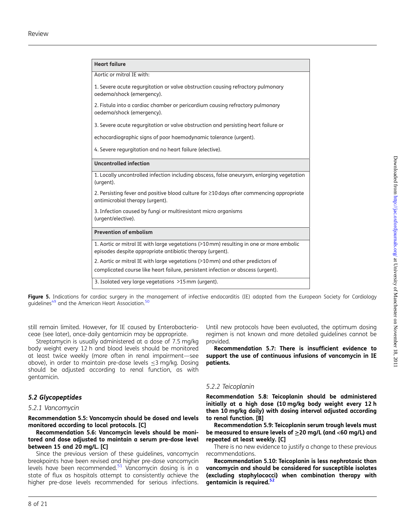<span id="page-7-0"></span>

| <b>Heart failure</b>                                                                                                                                 |
|------------------------------------------------------------------------------------------------------------------------------------------------------|
| Aortic or mitral IE with:                                                                                                                            |
| 1. Severe acute regurgitation or valve obstruction causing refractory pulmonary<br>oedema/shock (emergency).                                         |
| 2. Fistula into a cardiac chamber or pericardium causing refractory pulmonary<br>oedema/shock (emergency).                                           |
| 3. Severe acute regurgitation or valve obstruction and persisting heart failure or                                                                   |
| echocardiographic signs of poor haemodynamic tolerance (urgent).                                                                                     |
| 4. Severe regurgitation and no heart failure (elective).                                                                                             |
| Uncontrolled infection                                                                                                                               |
| 1. Locally uncontrolled infection including abscess, false aneurysm, enlarging vegetation<br>(urgent).                                               |
| 2. Persisting fever and positive blood culture for $\geq$ 10 days after commencing appropriate<br>antimicrobial therapy (urgent).                    |
| 3. Infection caused by fungi or multiresistant micro organisms<br>(urgent/elective).                                                                 |
| <b>Prevention of embolism</b>                                                                                                                        |
| 1. Aortic or mitral IE with large vegetations (>10 mm) resulting in one or more embolic<br>episodes despite appropriate antibiotic therapy (urgent). |
| 2. Aortic or mitral IE with large vegetations (>10 mm) and other predictors of                                                                       |
| complicated course like heart failure, persistent infection or abscess (urgent).                                                                     |
| 3. Isolated very large vegetations >15 mm (urgent).                                                                                                  |



still remain limited. However, for IE caused by Enterobacteriaceae (see later), once-daily gentamicin may be appropriate.

Streptomycin is usually administered at a dose of 7.5 mg/kg body weight every 12 h and blood levels should be monitored at least twice weekly (more often in renal impairment—see above), in order to maintain pre-dose levels  $\leq$ 3 mg/kg. Dosing should be adjusted according to renal function, as with gentamicin.

### 5.2 Glycopeptides

#### 5.2.1 Vancomycin

Recommendation 5.5: Vancomycin should be dosed and levels monitored according to local protocols. [C]

Recommendation 5.6: Vancomycin levels should be monitored and dose adjusted to maintain a serum pre-dose level between 15 and 20 mg/L. [C]

Since the previous version of these guidelines, vancomycin breakpoints have been revised and higher pre-dose vancomycin levels have been recommended. $51$  Vancomycin dosing is in a state of flux as hospitals attempt to consistently achieve the higher pre-dose levels recommended for serious infections.

Until new protocols have been evaluated, the optimum dosing regimen is not known and more detailed guidelines cannot be provided.

Recommendation 5.7: There is insufficient evidence to support the use of continuous infusions of vancomycin in IE patients.

#### 5.2.2 Teicoplanin

Recommendation 5.8: Teicoplanin should be administered initially at a high dose (10 mg/kg body weight every 12 h then 10 mg/kg daily) with dosing interval adjusted according to renal function. [B]

Recommendation 5.9: Teicoplanin serum trough levels must be measured to ensure levels of ≥20 mg/L (and <60 mg/L) and repeated at least weekly. [C]

There is no new evidence to justify a change to these previous recommendations.

Recommendation 5.10: Teicoplanin is less nephrotoxic than vancomycin and should be considered for susceptible isolates (excluding staphylococci) when combination therapy with gentamicin is required.<sup>[52](#page-17-0)</sup>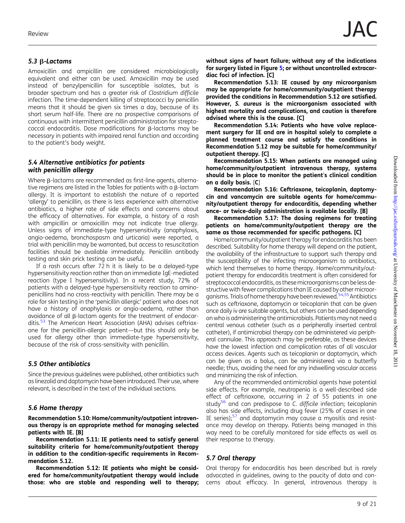### 5.3  $\beta$ -Lactams

Amoxicillin and ampicillin are considered microbiologically equivalent and either can be used. Amoxicillin may be used instead of benzylpenicillin for susceptible isolates, but is broader spectrum and has a greater risk of Clostridium difficile infection. The time-dependent killing of streptococci by penicillin means that it should be given six times a day, because of its short serum half-life. There are no prospective comparisons of continuous with intermittent penicillin administration for streptococcal endocarditis. Dose modifications for  $\beta$ -lactams may be necessary in patients with impaired renal function and according to the patient's body weight.

### 5.4 Alternative antibiotics for patients with penicillin allergy

Where  $\beta$ -lactams are recommended as first-line agents, alternative regimens are listed in the Tables for patients with a  $\beta$ -lactam allergy. It is important to establish the nature of a reported 'allergy' to penicillin, as there is less experience with alternative antibiotics, a higher rate of side effects and concerns about the efficacy of alternatives. For example, a history of a rash with ampicillin or amoxicillin may not indicate true allergy. Unless signs of immediate-type hypersensitivity (anaphylaxis, angio-oedema, bronchospasm and urticaria) were reported, a trial with penicillin may be warranted, but access to resuscitation facilities should be available immediately. Penicillin antibody testing and skin prick testing can be useful.

If a rash occurs after 72 h it is likely to be a delayed-type hypersensitivity reaction rather than an immediate IgE-mediated reaction (type I hypersensitivity). In a recent study, 72% of patients with a delayed-type hypersensitivity reaction to aminopenicillins had no cross-reactivity with penicillin. There may be a role for skin testing in the 'penicillin allergic' patient who does not have a history of anaphylaxis or angio-oedema, rather than avoidance of all  $\beta$ -lactam agents for the treatment of endocar-ditis.<sup>[53](#page-17-0)</sup> The American Heart Association (AHA) advises ceftriaxone for the penicillin-allergic patient—but this should only be used for allergy other than immediate-type hypersensitivity, because of the risk of cross-sensitivity with penicillin.

### 5.5 Other antibiotics

Since the previous guidelines were published, other antibiotics such as linezolid and daptomycin have been introduced. Their use, where relevant, is described in the text of the individual sections.

## 5.6 Home therapy

Recommendation 5.10: Home/community/outpatient intravenous therapy is an appropriate method for managing selected patients with IE. [B]

Recommendation 5.11: IE patients need to satisfy general suitability criteria for home/community/outpatient therapy in addition to the condition-specific requirements in Recommendation 5.12.

Recommendation 5.12: IE patients who might be considered for home/community/outpatient therapy would include those: who are stable and responding well to therapy; without signs of heart failure; without any of the indications for surgery listed in Figure [5;](#page-7-0) or without uncontrolled extracardiac foci of infection. [C]

Recommendation 5.13: IE caused by any microorganism may be appropriate for home/community/outpatient therapy provided the conditions in Recommendation 5.12 are satisfied. However, S. aureus is the microorganism associated with highest mortality and complications, and caution is therefore advised where this is the cause. [C]

Recommendation 5.14: Patients who have valve replacement surgery for IE and are in hospital solely to complete a planned treatment course and satisfy the conditions in Recommendation 5.12 may be suitable for home/community/ outpatient therapy. [C]

Recommendation 5.15: When patients are managed using home/community/outpatient intravenous therapy, systems should be in place to monitor the patient's clinical condition on a daily basis. [C]

Recommendation 5.16: Ceftriaxone, teicoplanin, daptomycin and vancomycin are suitable agents for home/community/outpatient therapy for endocarditis, depending whether once- or twice-daily administration is available locally. [B]

Recommendation 5.17: The dosing regimens for treating patients on home/community/outpatient therapy are the same as those recommended for specific pathogens. [C]

Home/community/outpatient therapy for endocarditis has been described. Suitability for home therapy will depend on the patient, the availability of the infrastructure to support such therapy and the susceptibility of the infecting microorganism to antibiotics, which lend themselves to home therapy. Home/community/outpatient therapy for endocarditis treatment is often considered for streptococcal endocarditis, as thesemicroorganisms can be less destructive with fewer complications than IE caused by other microor-ganisms. Trials of home therapy have been reviewed.<sup>[54](#page-18-0),[55](#page-18-0)</sup> Antibiotics such as ceftriaxone, daptomycin or teicoplanin that can be given once daily iv are suitable agents, but others can be used depending on who is administering the antimicrobials. Patients may not need a central venous catheter (such as a peripherally inserted central catheter), if antimicrobial therapy can be administered via peripheral cannulae. This approach may be preferable, as these devices have the lowest infection and complication rates of all vascular access devices. Agents such as teicoplanin or daptomycin, which can be given as a bolus, can be administered via a butterfly needle; thus, avoiding the need for any indwelling vascular access and minimizing the risk of infection.

Any of the recommended antimicrobial agents have potential side effects. For example, neutropenia is a well-described side effect of ceftriaxone, occurring in 2 of 55 patients in one study<sup>[56](#page-18-0)</sup> and can predispose to  $C$ . difficile infection; teicoplanin also has side effects, including drug fever (25% of cases in one IE series);<sup>[57](#page-18-0)</sup> and daptomycin may cause a myositis and resistance may develop on therapy. Patients being managed in this way need to be carefully monitored for side effects as well as their response to therapy.

## 5.7 Oral therapy

Oral therapy for endocarditis has been described but is rarely advocated in guidelines, owing to the paucity of data and concerns about efficacy. In general, intravenous therapy is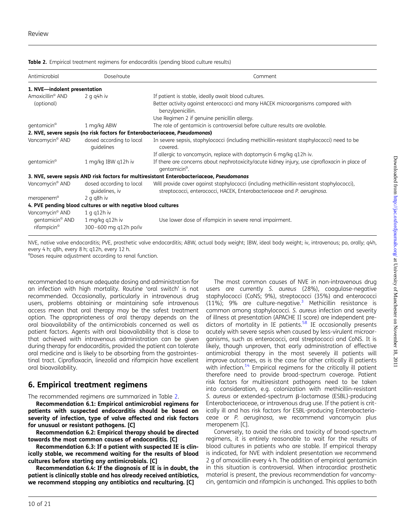| Antimicrobial                                          | Dose/route                                                                  | Comment                                                                                                                                                              |
|--------------------------------------------------------|-----------------------------------------------------------------------------|----------------------------------------------------------------------------------------------------------------------------------------------------------------------|
| 1. NVE-indolent presentation                           |                                                                             |                                                                                                                                                                      |
| Amoxicillin <sup>a</sup> AND                           | $2$ g g4h iv                                                                | If patient is stable, ideally await blood cultures.                                                                                                                  |
| (optional)                                             |                                                                             | Better activity against enterococci and many HACEK microorganisms compared with<br>benzylpenicillin.                                                                 |
|                                                        |                                                                             | Use Regimen 2 if genuine penicillin allergy.                                                                                                                         |
| qentamicin <sup>a</sup>                                | 1 mg/kg ABW                                                                 | The role of gentamicin is controversial before culture results are available.                                                                                        |
|                                                        | 2. NVE, severe sepsis (no risk factors for Enterobacteriaceae, Pseudomonas) |                                                                                                                                                                      |
| Vancomycin <sup>a</sup> AND                            | dosed according to local<br>quidelines                                      | In severe sepsis, staphylococci (including methicillin-resistant staphylococci) need to be<br>covered.                                                               |
|                                                        |                                                                             | If allergic to vancomycin, replace with daptomycin 6 mg/kg q12h iv.                                                                                                  |
| qentamicin <sup>a</sup>                                | 1 mg/kg IBW g12h iv                                                         | If there are concerns about nephrotoxicity/acute kidney injury, use ciprofloxacin in place of<br>gentamicin <sup>a</sup> .                                           |
|                                                        |                                                                             | 3. NVE, severe sepsis AND risk factors for multiresistant Enterobacteriaceae, Pseudomonas                                                                            |
| Vancomycin <sup>a</sup> AND                            | dosed according to local<br>quidelines, iv                                  | Will provide cover against staphylococci (including methicillin-resistant staphylococci),<br>streptococci, enterococci, HACEK, Enterobacteriaceae and P. aeruginosa. |
| meropenem <sup>a</sup>                                 | $2$ q q8h iv                                                                |                                                                                                                                                                      |
|                                                        | 4. PVE pending blood cultures or with negative blood cultures               |                                                                                                                                                                      |
| Vancomycin <sup>a</sup> AND                            | 1 g q12h iv                                                                 |                                                                                                                                                                      |
| gentamicin <sup>a</sup> AND<br>rifampicin <sup>a</sup> | 1 mg/kg q12h iv<br>300-600 mg q12h po/iv                                    | Use lower dose of rifampicin in severe renal impairment.                                                                                                             |

**Table 2.** Empirical treatment regimens for endocarditis (pending blood culture results)

NVE, native valve endocarditis; PVE, prosthetic valve endocarditis; ABW, actual body weight; IBW, ideal body weight; iv, intravenous; po, orally; q4h, every 4 h; q8h, every 8 h; q12h, every 12 h. <sup>a</sup>Doses require adjustment according to renal function.

recommended to ensure adequate dosing and administration for an infection with high mortality. Routine 'oral switch' is not recommended. Occasionally, particularly in intravenous drug users, problems obtaining or maintaining safe intravenous access mean that oral therapy may be the safest treatment option. The appropriateness of oral therapy depends on the oral bioavailability of the antimicrobials concerned as well as patient factors. Agents with oral bioavailability that is close to that achieved with intravenous administration can be given during therapy for endocarditis, provided the patient can tolerate oral medicine and is likely to be absorbing from the gastrointestinal tract. Ciprofloxacin, linezolid and rifampicin have excellent oral bioavailability.

## 6. Empirical treatment regimens

The recommended regimens are summarized in Table 2.

Recommendation 6.1: Empirical antimicrobial regimens for patients with suspected endocarditis should be based on severity of infection, type of valve affected and risk factors for unusual or resistant pathogens. [C]

Recommendation 6.2: Empirical therapy should be directed towards the most common causes of endocarditis. [C]

Recommendation 6.3: If a patient with suspected IE is clinically stable, we recommend waiting for the results of blood cultures before starting any antimicrobials. [C]

Recommendation 6.4: If the diagnosis of IE is in doubt, the patient is clinically stable and has already received antibiotics, we recommend stopping any antibiotics and reculturing. [C]

The most common causes of NVE in non-intravenous drug users are currently S. aureus (28%), coagulase-negative staphylococci (CoNS; 9%), streptococci (35%) and enterococci  $(11\%)$ ; 9% are culture-negative.<sup>[3](#page-16-0)</sup> Methicillin resistance is common among staphylococci. S. aureus infection and severity of illness at presentation (APACHE II score) are independent predictors of mortality in IE patients.<sup>58</sup> IE occasionally presents acutely with severe sepsis when caused by less-virulent microorganisms, such as enterococci, oral streptococci and CoNS. It is likely, though unproven, that early administration of effective antimicrobial therapy in the most severely ill patients will improve outcomes, as is the case for other critically ill patients with infection.<sup>[14](#page-16-0)</sup> Empirical regimens for the critically ill patient therefore need to provide broad-spectrum coverage. Patient risk factors for multiresistant pathogens need to be taken into consideration, e.g. colonization with methicillin-resistant S. aureus or extended-spectrum  $\beta$ -lactamase (ESBL)-producing Enterobacteriaceae, or intravenous drug use. If the patient is critically ill and has risk factors for ESBL-producing Enterobacteriaceae or P. aeruginosa, we recommend vancomycin plus meropenem [C].

Conversely, to avoid the risks and toxicity of broad-spectrum regimens, it is entirely reasonable to wait for the results of blood cultures in patients who are stable. If empirical therapy is indicated, for NVE with indolent presentation we recommend 2 g of amoxicillin every 4 h. The addition of empirical gentamicin in this situation is controversial. When intracardiac prosthetic material is present, the previous recommendation for vancomycin, gentamicin and rifampicin is unchanged. This applies to both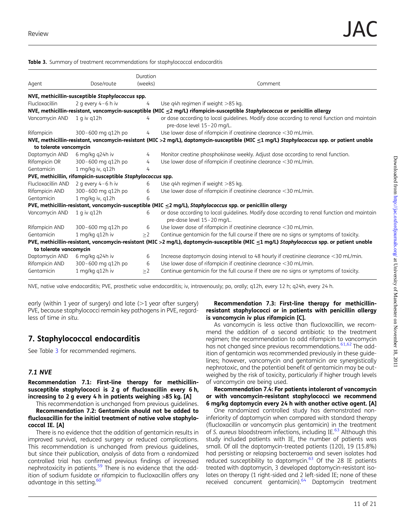| Agent                  | Dose/route                                                   | Duration<br>(weeks) | Comment                                                                                                                                    |
|------------------------|--------------------------------------------------------------|---------------------|--------------------------------------------------------------------------------------------------------------------------------------------|
|                        | NVE, methicillin-susceptible Staphylococcus spp.             |                     |                                                                                                                                            |
| Flucloxacillin         | 2 g every $4-6$ h iv                                         | 4                   | Use q4h regimen if weight >85 kg.                                                                                                          |
|                        |                                                              |                     | NVE, methicillin-resistant, vancomycin-susceptible (MIC ≤2 mg/L) rifampicin-susceptible Staphylococcus or penicillin allergy               |
| Vancomycin AND         | $1$ q iv q $12h$                                             | 4                   | or dose according to local quidelines. Modify dose according to renal function and maintain<br>pre-dose level 15-20 mg/L.                  |
| Rifampicin             | 300-600 mg g12h po                                           | $\frac{1}{2}$       | Use lower dose of rifampicin if creatinine clearance <30 mL/min.                                                                           |
|                        |                                                              |                     | NVE, methicillin-resistant, vancomycin-resistant (MIC >2 mg/L), daptomycin-susceptible (MIC ≤1 mg/L) Staphylococcus spp. or patient unable |
| to tolerate vancomycin |                                                              |                     |                                                                                                                                            |
| Daptomycin AND         | 6 mg/kg g24h iv                                              | 4                   | Monitor creatine phosphokinase weekly. Adjust dose according to renal function.                                                            |
| Rifampicin OR          | 300-600 mg q12h po                                           | 4                   | Use lower dose of rifampicin if creatinine clearance <30 mL/min.                                                                           |
| Gentamicin             | 1 mg/kg iv, q12h                                             | 4                   |                                                                                                                                            |
|                        | PVE, methicillin, rifampicin-susceptible Staphylococcus spp. |                     |                                                                                                                                            |
| Flucloxacillin AND     | 2 g every $4-6$ h iv                                         | 6                   | Use q4h regimen if weight >85 kg.                                                                                                          |
| Rifampicin AND         | 300-600 mg q12h po                                           | 6                   | Use lower dose of rifampicin if creatinine clearance <30 mL/min.                                                                           |
| Gentamicin             | 1 mg/kg iv, q12h                                             | 6                   |                                                                                                                                            |
|                        |                                                              |                     | PVE, methicillin-resistant, vancomycin-susceptible (MIC <2 mg/L), Staphylococcus spp. or penicillin allergy                                |
| Vancomycin AND         | $1$ q iv q $12h$                                             | 6                   | or dose according to local guidelines. Modify dose according to renal function and maintain<br>pre-dose level 15-20 mg/L.                  |
| Rifampicin AND         | 300-600 mg q12h po                                           | 6                   | Use lower dose of rifampicin if creatinine clearance <30 mL/min.                                                                           |
| Gentamicin             | 1 mg/kg q12h iv                                              | >2                  | Continue gentamicin for the full course if there are no signs or symptoms of toxicity.                                                     |
|                        |                                                              |                     | PVE, methicillin-resistant, vancomycin-resistant (MIC >2 mg/L), daptomycin-susceptible (MIC ≤1 mg/L) Staphylococcus spp. or patient unable |
| to tolerate vancomycin |                                                              |                     |                                                                                                                                            |
| Daptomycin AND         | 6 mg/kg q24h iv                                              | 6                   | Increase daptomycin dosing interval to 48 hourly if creatinine clearance <30 mL/min.                                                       |
| Rifampicin AND         | 300-600 mg q12h po                                           | 6                   | Use lower dose of rifampicin if creatinine clearance <30 mL/min.                                                                           |
| Gentamicin             | 1 mg/kg q12h iv                                              | >2                  | Continue gentamicin for the full course if there are no signs or symptoms of toxicity.                                                     |

Table 3. Summary of treatment recommendations for staphylococcal endocarditis

NVE, native valve endocarditis; PVE, prosthetic valve endocarditis; iv, intravenously; po, orally; q12h, every 12 h; q24h, every 24 h.

early (within 1 year of surgery) and late  $(1)$  year after surgery) PVE, because staphylococci remain key pathogens in PVE, regardless of time in situ.

## 7. Staphylococcal endocarditis

See Table 3 for recommended regimens.

### 7.1 NVE

Recommendation 7.1: First-line therapy for methicillinsusceptible staphylococci is 2 g of flucloxacillin every 6 h, increasing to 2 g every 4 h in patients weighing >85 kg. [A]

This recommendation is unchanged from previous guidelines. Recommendation 7.2: Gentamicin should not be added to flucloxacillin for the initial treatment of native valve staphylococcal IE. [A]

There is no evidence that the addition of gentamicin results in improved survival, reduced surgery or reduced complications. This recommendation is unchanged from previous guidelines, but since their publication, analysis of data from a randomized controlled trial has confirmed previous findings of increased nephrotoxicity in patients.<sup>[59](#page-18-0)</sup> There is no evidence that the addition of sodium fusidate or rifampicin to flucloxacillin offers any advantage in this setting.<sup>[60](#page-18-0)</sup>

#### Recommendation 7.3: First-line therapy for methicillinresistant staphylococci or in patients with penicillin allergy is vancomycin iv plus rifampicin [C].

As vancomycin is less active than flucloxacillin, we recommend the addition of a second antibiotic to the treatment regimen; the recommendation to add rifampicin to vancomycin has not changed since previous recommendations.<sup>61,62</sup> The addition of gentamicin was recommended previously in these guidelines; however, vancomycin and gentamicin are synergistically nephrotoxic, and the potential benefit of gentamicin may be outweighed by the risk of toxicity, particularly if higher trough levels of vancomycin are being used.

#### Recommendation 7.4: For patients intolerant of vancomycin or with vancomycin-resistant staphylococci we recommend 6 mg/kg daptomycin every 24 h with another active agent. [A]

One randomized controlled study has demonstrated noninferiority of daptomycin when compared with standard therapy (flucloxacillin or vancomycin plus gentamicin) in the treatment of S. aureus bloodstream infections, including IE.<sup>[63](#page-18-0)</sup> Although this study included patients with IE, the number of patients was small. Of all the daptomycin-treated patients (120), 19 (15.8%) had persisting or relapsing bacteraemia and seven isolates had reduced susceptibility to daptomycin. $63$  Of the 28 IE patients treated with daptomycin, 3 developed daptomycin-resistant isolates on therapy (1 right-sided and 2 left-sided IE; none of these received concurrent gentamicin).<sup>[64](#page-18-0)</sup> Daptomycin treatment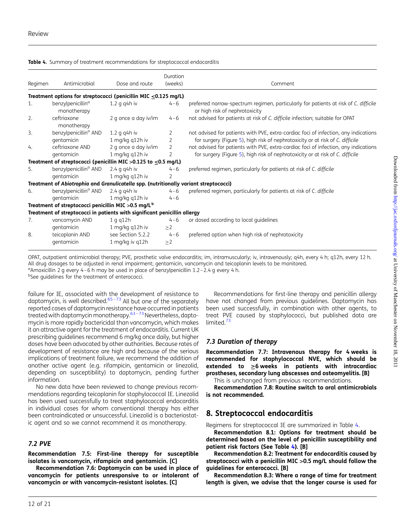| Regimen | Antimicrobial                                                                         | Dose and route                          | Duration<br>(weeks) | Comment                                                                                                                                                               |
|---------|---------------------------------------------------------------------------------------|-----------------------------------------|---------------------|-----------------------------------------------------------------------------------------------------------------------------------------------------------------------|
|         | Treatment options for streptococci (penicillin MIC $\leq$ 0.125 mg/L)                 |                                         |                     |                                                                                                                                                                       |
| 1.      | benzylpenicillin <sup>a</sup><br>monotherapy                                          | $1.2$ g g4h iv                          | $4 - 6$             | preferred narrow-spectrum regimen, particularly for patients at risk of C. difficile<br>or high risk of nephrotoxicity                                                |
| 2.      | ceftriaxone<br>monotherapy                                                            | 2 g once a day iv/im                    | $4 - 6$             | not advised for patients at risk of C. difficile infection; suitable for OPAT                                                                                         |
| 3.      | benzylpenicillin <sup>a</sup> AND<br>gentamicin                                       | $1.2$ g g4h iv<br>1 mg/kg q12h iv       | 2<br>2              | not advised for patients with PVE, extra-cardiac foci of infection, any indications<br>for surgery (Figure 5), high risk of nephrotoxicity or at risk of C. difficile |
| 4.      | ceftriaxone AND<br>gentamicin                                                         | 2 g once a day iv/im<br>1 mg/kg q12h iv | 2<br>2              | not advised for patients with PVE, extra-cardiac foci of infection, any indications<br>for surgery (Figure 5), high risk of nephrotoxicity or at risk of C. difficile |
|         | Treatment of streptococci (penicillin MIC > 0.125 to $\leq$ 0.5 mg/L)                 |                                         |                     |                                                                                                                                                                       |
| 5.      | benzylpenicillin <sup>a</sup> AND<br>gentamicin                                       | $2.4$ g g4h iv<br>1 mg/kg q12h iv       | $4 - 6$             | preferred regimen, particularly for patients at risk of C. difficile                                                                                                  |
|         | Treatment of Abiotrophia and Granulicatella spp. (nutritionally variant streptococci) |                                         |                     |                                                                                                                                                                       |
| 6.      | benzylpenicillin <sup>a</sup> AND<br>gentamicin                                       | $2.4$ g g4h iv<br>1 mg/kg q12h iv       | $4 - 6$<br>$4 - 6$  | preferred regimen, particularly for patients at risk of C. difficile                                                                                                  |
|         | Treatment of streptococci penicillin MIC > 0.5 mg/L <sup>b</sup>                      |                                         |                     |                                                                                                                                                                       |
|         | Treatment of streptococci in patients with significant penicillin allergy             |                                         |                     |                                                                                                                                                                       |
| 7.      | vancomycin AND<br>gentamicin                                                          | 1 g q12h<br>1 mg/kg q12h iv             | $4 - 6$<br>$\geq$ 2 | or dosed according to local guidelines                                                                                                                                |
| 8.      | teicoplanin AND<br>gentamicin                                                         | see Section 5.2.2<br>1 mg/kg iv q12h    | $4 - 6$<br>$\geq$ 2 | preferred option when high risk of nephrotoxicity                                                                                                                     |

<span id="page-11-0"></span>Table 4. Summary of treatment recommendations for streptococcal endocarditis

OPAT, outpatient antimicrobial therapy; PVE, prosthetic valve endocarditis; im, intramuscularly; iv, intravenously; q4h, every 4 h; q12h, every 12 h. All drug dosages to be adjusted in renal impairment; gentamicin, vancomycin and teicoplanin levels to be monitored. <sup>a</sup>Amoxicillin 2 g every 4-6 h may be used in place of benzylpenicillin 1.2-2.4 g every 4 h.

<sup>b</sup>See guidelines for the treatment of enterococci.

failure for IE, associated with the development of resistance to daptomycin, is well described.<sup>[65](#page-18-0)-[73](#page-18-0)</sup> All but one of the separately reported cases of daptomycin resistance have occurred in patients treated with daptomycin monotherapy.<sup>[63](#page-18-0)-[73](#page-18-0)</sup> Nevertheless, daptomycin is more rapidly bactericidal than vancomycin, which makes it an attractive agent for the treatment of endocarditis. Current UK prescribing guidelines recommend 6 mg/kg once daily, but higher doses have been advocated by other authorities. Because rates of development of resistance are high and because of the serious implications of treatment failure, we recommend the addition of another active agent (e.g. rifampicin, gentamicin or linezolid, depending on susceptibility) to daptomycin, pending further information.

No new data have been reviewed to change previous recommendations regarding teicoplanin for staphylococcal IE. Linezolid has been used successfully to treat staphylococcal endocarditis in individual cases for whom conventional therapy has either been contraindicated or unsuccessful. Linezolid is a bacteriostatic agent and so we cannot recommend it as monotherapy.

### 7.2 PVE

Recommendation 7.5: First-line therapy for susceptible isolates is vancomycin, rifampicin and gentamicin. [C]

Recommendation 7.6: Daptomycin can be used in place of vancomycin for patients unresponsive to or intolerant of vancomycin or with vancomycin-resistant isolates. [C]

Recommendations for first-line therapy and penicillin allergy have not changed from previous guidelines. Daptomycin has been used successfully, in combination with other agents, to treat PVE caused by staphylococci, but published data are limited.<sup>[73](#page-18-0)</sup>

### 7.3 Duration of therapy

Recommendation 7.7: Intravenous therapy for 4 weeks is recommended for staphylococcal NVE, which should be extended to  $\geq 6$  weeks in patients with intracardiac prostheses, secondary lung abscesses and osteomyelitis. [B]

This is unchanged from previous recommendations.

Recommendation 7.8: Routine switch to oral antimicrobials is not recommended.

## 8. Streptococcal endocarditis

Regimens for streptococcal IE are summarized in Table 4.

Recommendation 8.1: Options for treatment should be determined based on the level of penicillin susceptibility and patient risk factors (See Table 4). [B]

Recommendation 8.2: Treatment for endocarditis caused by streptococci with a penicillin MIC >0.5 mg/L should follow the guidelines for enterococci. [B]

Recommendation 8.3: Where a range of time for treatment length is given, we advise that the longer course is used for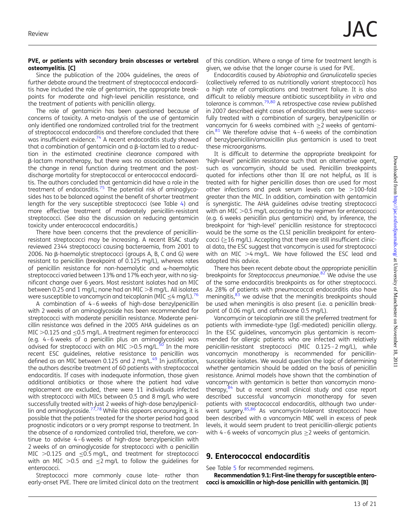#### PVE, or patients with secondary brain abscesses or vertebral osteomyelitis. [C]

Since the publication of the 2004 guidelines, the areas of further debate around the treatment of streptococcal endocarditis have included the role of gentamicin, the appropriate breakpoints for moderate and high-level penicillin resistance, and the treatment of patients with penicillin allergy.

The role of gentamicin has been questioned because of concerns of toxicity. A meta-analysis of the use of gentamicin only identified one randomized controlled trial for the treatment of streptococcal endocarditis and therefore concluded that there was insufficient evidence.<sup>[74](#page-18-0)</sup> A recent endocarditis study showed that a combination of gentamicin and a  $\beta$ -lactam led to a reduction in the estimated creatinine clearance compared with  $\beta$ -lactam monotherapy, but there was no association between the change in renal function during treatment and the postdischarge mortality for streptococcal or enterococcal endocarditis. The authors concluded that gentamicin did have a role in the treatment of endocarditis.<sup>[75](#page-18-0)</sup> The potential risk of aminoglycosides has to be balanced against the benefit of shorter treatment length for the very susceptible streptococci (see Table [4\)](#page-11-0) and more effective treatment of moderately penicillin-resistant streptococci. (See also the discussion on reducing gentamicin toxicity under enterococcal endocarditis.)

There have been concerns that the prevalence of penicillinresistant streptococci may be increasing. A recent BSAC study reviewed 2344 streptococci causing bacteraemia, from 2001 to 2006. No  $\beta$ -haemolytic streptococci (groups A, B, C and G) were resistant to penicillin (breakpoint of 0.125 mg/L), whereas rates of penicillin resistance for non-haemolytic and  $\alpha$ -haemolytic streptococci varied between 13% and 17% each year, with no significant change over 6 years. Most resistant isolates had an MIC between 0.25 and 1 mg/L; none had an MIC  $>8$  mg/L. All isolates were susceptible to vancomycin and teicoplanin (MIC  $\leq$ 4 mg/L).<sup>[76](#page-18-0)</sup>

A combination of 4 –6 weeks of high-dose benzylpenicillin with 2 weeks of an aminoglycoside has been recommended for streptococci with moderate penicillin resistance. Moderate penicillin resistance was defined in the 2005 AHA guidelines as an MIC  $>$  0.125 and  $<$  0.5 mg/L. A treatment regimen for enterococci (e.g. 4 –6 weeks of a penicillin plus an aminoglycoside) was advised for streptococci with an MIC  $>0.5$  mg/L.<sup>50</sup> In the more recent ESC guidelines, relative resistance to penicillin was defined as an MIC between 0.125 and 2 mg/L.<sup>49</sup> In justification, the authors describe treatment of 60 patients with streptococcal endocarditis. If cases with inadequate information, those given additional antibiotics or those where the patient had valve replacement are excluded, there were 11 individuals infected with streptococci with MICs between 0.5 and 8 mg/L who were successfully treated with just 2 weeks of high-dose benzylpenicil-lin and aminoglycoside.<sup>[77,78](#page-18-0)</sup> While this appears encouraging, it is possible that the patients treated for the shorter period had good prognostic indicators or a very prompt response to treatment. In the absence of a randomized controlled trial, therefore, we continue to advise 4 –6 weeks of high-dose benzylpenicillin with 2 weeks of an aminoglycoside for streptococci with a penicillin MIC  $>0.125$  and  $\leq 0.5$  mg/L, and treatment for streptococci with an MIC > 0.5 and  $\leq$ 2 mg/L to follow the guidelines for enterococci.

Streptococci more commonly cause late- rather than early-onset PVE. There are limited clinical data on the treatment

of this condition. Where a range of time for treatment length is given, we advise that the longer course is used for PVE.

Endocarditis caused by Abiotrophia and Granulicatella species (collectively referred to as nutritionally variant streptococci) has a high rate of complications and treatment failure. It is also difficult to reliably measure antibiotic susceptibility in vitro and tolerance is common.<sup>79,[80](#page-18-0)</sup> A retrospective case review published in 2007 described eight cases of endocarditis that were successfully treated with a combination of surgery, benzylpenicillin or vancomycin for 6 weeks combined with ≥2 weeks of gentami- $\sin^{81}$  $\sin^{81}$  $\sin^{81}$  We therefore advise that 4-6 weeks of the combination of benzylpenicillin/amoxicillin plus gentamicin is used to treat these microorganisms.

It is difficult to determine the appropriate breakpoint for 'high-level' penicillin resistance such that an alternative agent, such as vancomycin, should be used. Penicillin breakpoints quoted for infections other than IE are not helpful, as IE is treated with far higher penicillin doses than are used for most other infections and peak serum levels can be  $>$ 100-fold greater than the MIC. In addition, combination with gentamicin is synergistic. The AHA guidelines advise treating streptococci with an MIC  $>$  0.5 mg/L according to the regimen for enterococci (e.g. 6 weeks penicillin plus gentamicin) and, by inference, the breakpoint for 'high-level' penicillin resistance for streptococci would be the same as the CLSI penicillin breakpoint for enterococci (≥16 mg/L). Accepting that there are still insufficient clinical data, the ESC suggest that vancomycin is used for streptococci with an MIC  $>4$  mg/L. We have followed the ESC lead and adopted this advice.

There has been recent debate about the appropriate penicillin breakpoints for Streptococcus pneumoniae.<sup>[82](#page-18-0)</sup> We advise the use of the same endocarditis breakpoints as for other streptococci. As 28% of patients with pneumococcal endocarditis also have meningitis,<sup>[83](#page-18-0)</sup> we advise that the meningitis breakpoints should be used when meningitis is also present (i.e. a penicillin breakpoint of 0.06 mg/L and ceftriaxone 0.5 mg/L).

Vancomycin or teicoplanin are still the preferred treatment for patients with immediate-type (IgE-mediated) penicillin allergy. In the ESC guidelines, vancomycin plus gentamicin is recommended for allergic patients who are infected with relatively penicillin-resistant streptococci (MIC 0.125-2 mg/L), while vancomycin monotherapy is recommended for penicillinsusceptible isolates. We would question the logic of determining whether gentamicin should be added on the basis of penicillin resistance. Animal models have shown that the combination of vancomycin with gentamicin is better than vancomycin monotherapy, $84$  but a recent small clinical study and case report described successful vancomycin monotherapy for seven patients with streptococcal endocarditis, although two under-went surgery.<sup>[85](#page-18-0),[86](#page-18-0)</sup> As vancomycin-tolerant streptococci have been described with a vancomycin MBC well in excess of peak levels, it would seem prudent to treat penicillin-allergic patients with 4-6 weeks of vancomycin plus  $\geq$  weeks of gentamicin.

## 9. Enterococcal endocarditis

See Table [5](#page-13-0) for recommended regimens.

Recommendation 9.1: First-line therapy for susceptible enterococci is amoxicillin or high-dose penicillin with gentamicin. [B]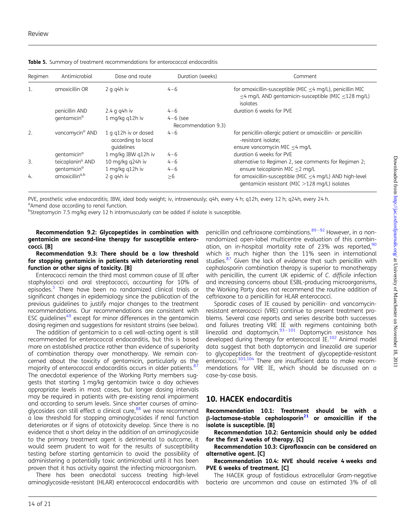| Regimen          | Antimicrobial                | Dose and route                                           | Duration (weeks)                  | Comment                                                                                                                           |
|------------------|------------------------------|----------------------------------------------------------|-----------------------------------|-----------------------------------------------------------------------------------------------------------------------------------|
| 1.               | amoxicillin OR               | $2$ g g4h iv                                             | $4 - 6$                           | for amoxicillin-susceptible (MIC $\leq$ 4 mg/L), penicillin MIC<br><4 mg/L AND gentamicin-susceptible (MIC <128 mg/L)<br>isolates |
|                  | penicillin AND               | $2.4$ g g4h iv                                           | $4 - 6$                           | duration 6 weeks for PVE                                                                                                          |
|                  | qentamicin <sup>a</sup>      | 1 mg/kg q12h iv                                          | $4-6$ (see<br>Recommendation 9.3) |                                                                                                                                   |
| 2.               | vancomycin <sup>a</sup> AND  | 1 g g12h iv or dosed<br>according to local<br>quidelines | $4 - 6$                           | for penicillin-allergic patient or amoxicillin- or penicillin<br>-resistant isolate;<br>ensure vancomycin MIC $\leq$ 4 mg/L       |
|                  | qentamicin <sup>a</sup>      | 1 mg/kg IBW g12h iv                                      | $4 - 6$                           | duration 6 weeks for PVE                                                                                                          |
| $\overline{3}$ . | teicoplanin <sup>a</sup> AND | 10 mg/kg q24h iv                                         | $4 - 6$                           | alternative to Regimen 2, see comments for Regimen 2;                                                                             |
|                  | qentamicin <sup>a</sup>      | 1 mg/kg q12h iv                                          | $4 - 6$                           | ensure teicoplanin MIC $\leq$ 2 mg/L                                                                                              |
| 4.               | amoxicillin <sup>a,b</sup>   | $2$ g g4h iv                                             | >6                                | for amoxicillin-susceptible (MIC $\leq$ 4 mg/L) AND high-level<br>gentamicin resistant (MIC $>128$ mg/L) isolates                 |

<span id="page-13-0"></span>Table 5. Summary of treatment recommendations for enterococcal endocarditis

PVE, prosthetic valve endocarditis; IBW, ideal body weight; iv, intravenously; q4h, every 4 h; q12h, every 12 h; q24h, every 24 h. <sup>a</sup>Amend dose according to renal function.

<sup>b</sup>Streptomycin 7.5 mg/kg every 12 h intramuscularly can be added if isolate is susceptible.

Recommendation 9.2: Glycopeptides in combination with gentamicin are second-line therapy for susceptible enterococci. [B]

Recommendation 9.3: There should be a low threshold for stopping gentamicin in patients with deteriorating renal function or other signs of toxicity. [B]

Enterococci remain the third most common cause of IE after staphylococci and oral streptococci, accounting for 10% of episodes.<sup>[3](#page-16-0)</sup> There have been no randomized clinical trials or significant changes in epidemiology since the publication of the previous guidelines to justify major changes to the treatment recommendations. Our recommendations are consistent with ESC guidelines<sup>[49](#page-17-0)</sup> except for minor differences in the gentamicin dosing regimen and suggestions for resistant strains (see below).

The addition of gentamicin to a cell wall-acting agent is still recommended for enterococcal endocarditis, but this is based more on established practice rather than evidence of superiority of combination therapy over monotherapy. We remain concerned about the toxicity of gentamicin, particularly as the majority of enterococcal endocarditis occurs in older patients.<sup>[87](#page-18-0)</sup> The anecdotal experience of the Working Party members suggests that starting 1 mg/kg gentamicin twice a day achieves appropriate levels in most cases, but longer dosing intervals may be required in patients with pre-existing renal impairment and according to serum levels. Since shorter courses of aminoglycosides can still effect a clinical cure,<sup>88</sup> we now recommend a low threshold for stopping aminoglycosides if renal function deteriorates or if signs of ototoxicity develop. Since there is no evidence that a short delay in the addition of an aminoglycoside to the primary treatment agent is detrimental to outcome, it would seem prudent to wait for the results of susceptibility testing before starting gentamicin to avoid the possibility of administering a potentially toxic antimicrobial until it has been proven that it has activity against the infecting microorganism.

There has been anecdotal success treating high-level aminoglycoside-resistant (HLAR) enterococcal endocarditis with

penicillin and ceftriaxone combinations.<sup>[89](#page-18-0)-[92](#page-19-0)</sup> However, in a nonrandomized open-label multicentre evaluation of this combination, an in-hospital mortality rate of 23% was reported, 90 which is much higher than the 11% seen in international studies.<sup>[87](#page-18-0)</sup> Given the lack of evidence that such penicillin with cephalosporin combination therapy is superior to monotherapy with penicillin, the current UK epidemic of C. difficile infection and increasing concerns about ESBL-producing microorganisms, the Working Party does not recommend the routine addition of ceftriaxone to a penicillin for HLAR enterococci.

Sporadic cases of IE caused by penicillin- and vancomycinresistant enterococci (VRE) continue to present treatment problems. Several case reports and series describe both successes and failures treating VRE IE with regimens containing both linezolid and daptomycin.<sup>[93](#page-19-0)-[101](#page-19-0)</sup> Daptomycin resistance has developed during therapy for enterococcal IE.<sup>[102](#page-19-0)</sup> Animal model data suggest that both daptomycin and linezolid are superior to glycopeptides for the treatment of glycopeptide-resistant enterococci.<sup>[103,104](#page-19-0)</sup> There are insufficient data to make recommendations for VRE IE, which should be discussed on a case-by-case basis.

## 10. HACEK endocarditis

Recommendation 10.1: Treatment should be with a  $\beta$ -lactamase-stable cephalosporin<sup>[21](#page-17-0)</sup> or amoxicillin if the isolate is susceptible. [B]

Recommendation 10.2: Gentamicin should only be added for the first 2 weeks of therapy. [C]

Recommendation 10.3: Ciprofloxacin can be considered an alternative agent. [C]

Recommendation 10.4: NVE should receive 4 weeks and PVE 6 weeks of treatment. [C]

The HACEK group of fastidious extracellular Gram-negative bacteria are uncommon and cause an estimated 3% of all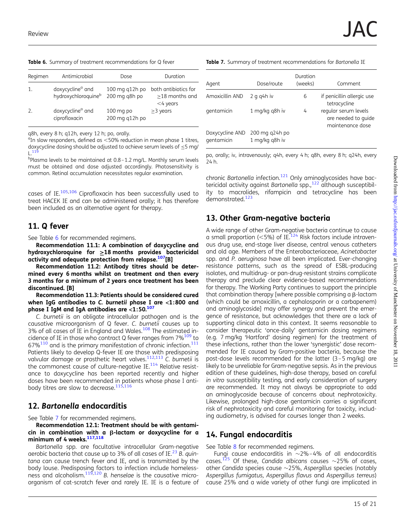Table 6. Summary of treatment recommendations for Q fever

| Regimen | Antimicrobial                                       | Dose                            | Duration                                              |
|---------|-----------------------------------------------------|---------------------------------|-------------------------------------------------------|
| 1.      | doxycycline <sup>a</sup> and<br>hydroxychloroquineb | 100 mg q12h po<br>200 mg q8h po | both antibiotics for<br>>18 months and<br>$<$ 4 years |
| 2.      | doxycycline <sup>a</sup> and<br>ciprofloxacin       | $100$ mg po<br>200 mg g12h po   | $\geq$ 3 years                                        |

q8h, every 8 h; q12h, every 12 h; po, orally.

<sup>a</sup>In slow responders, defined as <50% reduction in mean phase 1 titres, doxycycline dosing should be adjusted to achieve serum levels of  $\leq$ 5 mg/ L.[119](#page-19-0)

b Plasma levels to be maintained at 0.8–1.2 mg/L. Monthly serum levels must be obtained and dose adjusted accordingly. Photosensitivity is common. Retinal accumulation necessitates regular examination.

cases of IE.[105,106](#page-19-0) Ciprofloxacin has been successfully used to treat HACEK IE and can be administered orally; it has therefore been included as an alternative agent for therapy.

### 11. Q fever

See Table 6 for recommended regimens.

Recommendation 11.1: A combination of doxycycline and hydroxychloroquine for  $\geq$ 18 months provides bactericidal activity and adequate protection from relapse.<sup>[107](#page-19-0)</sup>[B]

Recommendation 11.2: Antibody titres should be determined every 6 months whilst on treatment and then every 3 months for a minimum of 2 years once treatment has been discontinued. [B]

Recommendation 11.3: Patients should be considered cured when IgG antibodies to C. burnetii phase I are <1:800 and phase I IgM and IgA antibodies are  $<$ 1:50. $107$ 

C. burnetii is an obligate intracellular pathogen and is the causative microorganism of Q fever. C. burnetii causes up to 3% of all cases of IE in England and Wales.<sup>[108](#page-19-0)</sup> The estimated incidence of IE in those who contract Q fever ranges from  $7\%^{109}$  to  $67\%$ <sup>[110](#page-19-0)</sup> and is the primary manifestation of chronic infection.<sup>[111](#page-19-0)</sup> Patients likely to develop Q-fever IE are those with predisposing valvular damage or prosthetic heart valves.<sup>[112,113](#page-19-0)</sup> C. burnetii is the commonest cause of culture-negative  $IE^{114}$  Relative resistance to doxycycline has been reported recently and higher doses have been recommended in patients whose phase I anti-body titres are slow to decrease.<sup>[115](#page-19-0),[116](#page-19-0)</sup>

## 12. Bartonella endocarditis

See Table 7 for recommended regimens.

Recommendation 12.1: Treatment should be with gentami $cin$  in combination with a  $\beta$ -lactam or doxycycline for a minimum of 4 weeks.<sup>[117](#page-19-0),[118](#page-19-0)</sup>

Bartonella spp. are facultative intracellular Gram-negative aerobic bacteria that cause up to 3% of all cases of IE.<sup>[23](#page-17-0)</sup> B. quintana can cause trench fever and IE, and is transmitted by the body louse. Predisposing factors to infection include homelessness and alcoholism. $119,120$  $119,120$  $119,120$  B. henselae is the causative microorganism of cat-scratch fever and rarely IE. IE is a feature of Table 7. Summary of treatment recommendations for Bartonella IE

| Agent                         | Dose/route                       | Duration<br>(weeks) | Comment                                                         |
|-------------------------------|----------------------------------|---------------------|-----------------------------------------------------------------|
| Amoxicillin AND               | $2$ g g4h iv                     | 6                   | if penicillin allergic use<br>tetracycline                      |
| gentamicin                    | 1 mg/kg g8h iv                   | 4                   | regular serum levels<br>are needed to quide<br>maintenance dose |
| Doxycycline AND<br>gentamicin | 200 mg q24h po<br>1 mg/kg q8h iv |                     |                                                                 |

po, orally; iv, intravenously; q4h, every 4 h; q8h, every 8 h; q24h, every 24 h.

chronic Bartonella infection.<sup>[121](#page-19-0)</sup> Only aminoglycosides have bac-tericidal activity against Bartonella spp.,<sup>[122](#page-19-0)</sup> although susceptibility to macrolides, rifampicin and tetracycline has been demonstrated.<sup>[123](#page-19-0)</sup>

## 13. Other Gram-negative bacteria

A wide range of other Gram-negative bacteria continue to cause a small proportion (<5%) of IE.<sup>124</sup> Risk factors include intravenous drug use, end-stage liver disease, central venous catheters and old age. Members of the Enterobacteriaceae, Acinetobacter spp. and P. aeruginosa have all been implicated. Ever-changing resistance patterns, such as the spread of ESBL-producing isolates, and multidrug- or pan-drug-resistant strains complicate therapy and preclude clear evidence-based recommendations for therapy. The Working Party continues to support the principle that combination therapy [where possible comprising a  $\beta$ -lactam (which could be amoxicillin, a cephalosporin or a carbapenem) and aminoglycoside] may offer synergy and prevent the emergence of resistance, but acknowledges that there are a lack of supporting clinical data in this context. It seems reasonable to consider therapeutic 'once-daily' gentamicin dosing regimens (e.g. 7 mg/kg 'Hartford' dosing regimen) for the treatment of these infections, rather than the lower 'synergistic' dose recommended for IE caused by Gram-positive bacteria, because the post-dose levels recommended for the latter (3 –5 mg/kg) are likely to be unreliable for Gram-negative sepsis. As in the previous edition of these guidelines, high-dose therapy, based on careful in vitro susceptibility testing, and early consideration of surgery are recommended. It may not always be appropriate to add an aminoglycoside because of concerns about nephrotoxicity. Likewise, prolonged high-dose gentamicin carries a significant risk of nephrotoxicity and careful monitoring for toxicity, including audiometry, is advised for courses longer than 2 weeks.

## 14. Fungal endocarditis

See Table [8](#page-15-0) for recommended regimens.

Fungi cause endocarditis in  $\sim$ 2%-4% of all endocarditis cases.<sup>[125](#page-19-0)</sup> Of these, Candida albicans causes  $\sim$ 25% of cases, other Candida species cause  $\sim$ 25%, Aspergillus species (notably Aspergillus fumigatus, Aspergillus flavus and Aspergillus terreus) cause 25% and a wide variety of other fungi are implicated in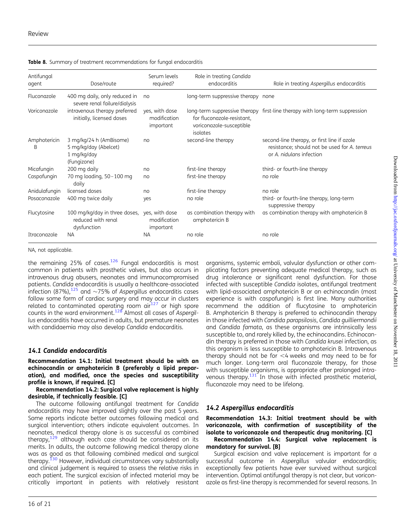| Antifungal<br>agent | Dose/route                                                                     | Serum levels<br>required?                   | Role in treating Candida<br>endocarditis                           | Role in treating Aspergillus endocarditis                                                                                |
|---------------------|--------------------------------------------------------------------------------|---------------------------------------------|--------------------------------------------------------------------|--------------------------------------------------------------------------------------------------------------------------|
| Fluconazole         | 400 mg daily, only reduced in<br>severe renal failure/dialysis                 | no                                          | long-term suppressive therapy none                                 |                                                                                                                          |
| Voriconazole        | intravenous therapy preferred<br>initially, licensed doses                     | yes, with dose<br>modification<br>important | for fluconazole-resistant,<br>voriconazole-susceptible<br>isolates | long-term suppressive therapy first-line therapy with long-term suppression                                              |
| Amphotericin<br>B   | 3 mg/kg/24 h (AmBisome)<br>5 mg/kg/day (Abelcet)<br>1 mg/kg/day<br>(Fungizone) | no                                          | second-line therapy                                                | second-line therapy, or first line if azole<br>resistance; should not be used for A. terreus<br>or A. nidulans infection |
| Micafungin          | 200 mg daily                                                                   | no                                          | first-line therapy                                                 | third- or fourth-line therapy                                                                                            |
| Caspofungin         | 70 mg loading, 50-100 mg<br>daily                                              | no                                          | first-line therapy                                                 | no role                                                                                                                  |
| Anidulafungin       | licensed doses                                                                 | no                                          | first-line therapy                                                 | no role                                                                                                                  |
| Posaconazole        | 400 mg twice daily                                                             | ves                                         | no role                                                            | third- or fourth-line therapy, long-term<br>suppressive therapy                                                          |
| Flucytosine         | 100 mg/kg/day in three doses,<br>reduced with renal<br>dysfunction             | yes, with dose<br>modification<br>important | as combination therapy with<br>amphotericin B                      | as combination therapy with amphotericin B                                                                               |
| <b>Itraconazole</b> | <b>NA</b>                                                                      | NA.                                         | no role                                                            | no role                                                                                                                  |

<span id="page-15-0"></span>Table 8. Summary of treatment recommendations for fungal endocarditis

NA, not applicable.

the remaining 25% of cases.<sup>[126](#page-19-0)</sup> Fungal endocarditis is most common in patients with prosthetic valves, but also occurs in intravenous drug abusers, neonates and immunocompromised patients. Candida endocarditis is usually a healthcare-associated infection (87%), $^{125}$  $^{125}$  $^{125}$  and  $\sim$ 75% of Aspergillus endocarditis cases follow some form of cardiac surgery and may occur in clusters related to contaminated operating room  $air^{127}$  $air^{127}$  $air^{127}$  or high spore counts in the ward environment.<sup>[128](#page-19-0)</sup> Almost all cases of Aspergillus endocarditis have occurred in adults, but premature neonates with candidaemia may also develop Candida endocarditis.

### 14.1 Candida endocarditis

Recommendation 14.1: Initial treatment should be with an echinocandin or amphotericin B (preferably a lipid preparation), and modified, once the species and susceptibility profile is known, if required. [C]

Recommendation 14.2: Surgical valve replacement is highly desirable, if technically feasible. [C]

The outcome following antifungal treatment for Candida endocarditis may have improved slightly over the past 5 years. Some reports indicate better outcomes following medical and surgical intervention; others indicate equivalent outcomes. In neonates, medical therapy alone is as successful as combined therapy, $129$  although each case should be considered on its merits. In adults, the outcome following medical therapy alone was as good as that following combined medical and surgical therapy.<sup>130</sup> However, individual circumstances vary substantially and clinical judgement is required to assess the relative risks in each patient. The surgical excision of infected material may be critically important in patients with relatively resistant

organisms, systemic emboli, valvular dysfunction or other complicating factors preventing adequate medical therapy, such as drug intolerance or significant renal dysfunction. For those infected with susceptible Candida isolates, antifungal treatment with lipid-associated amphotericin B or an echinocandin (most experience is with caspofungin) is first line. Many authorities recommend the addition of flucytosine to amphotericin B. Amphotericin B therapy is preferred to echinocandin therapy in those infected with Candida parapsilosis, Candida guilliermondii and Candida famata, as these organisms are intrinsically less susceptible to, and rarely killed by, the echinocandins. Echinocandin therapy is preferred in those with Candida krusei infection, as this organism is less susceptible to amphotericin B. Intravenous therapy should not be for  $<4$  weeks and may need to be for much longer. Long-term oral fluconazole therapy, for those with susceptible organisms, is appropriate after prolonged intravenous therapy. $131$  In those with infected prosthetic material, fluconazole may need to be lifelong.

## 14.2 Aspergillus endocarditis

Recommendation 14.3: Initial treatment should be with voriconazole, with confirmation of susceptibility of the isolate to voriconazole and therapeutic drug monitoring. [C]

Recommendation 14.4: Surgical valve replacement is mandatory for survival. [B]

Surgical excision and valve replacement is important for a successful outcome in Aspergillus valvular endocarditis; exceptionally few patients have ever survived without surgical intervention. Optimal antifungal therapy is not clear, but voriconazole as first-line therapy is recommended for several reasons. In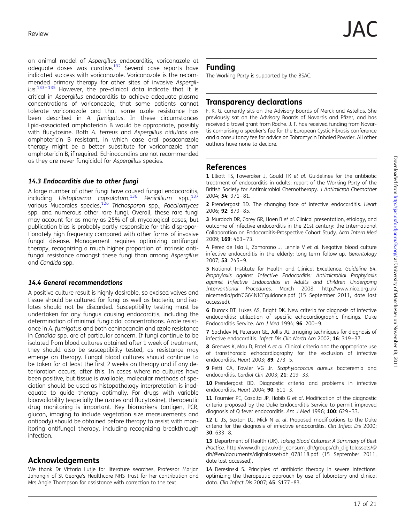<span id="page-16-0"></span>an animal model of Aspergillus endocarditis, voriconazole at adequate doses was curative.<sup>132</sup> Several case reports have indicated success with voriconazole. Voriconazole is the recommended primary therapy for other sites of invasive Aspergil- $\mu$ s.<sup>[133](#page-20-0)–[135](#page-20-0)</sup> However, the pre-clinical data indicate that it is critical in Aspergillus endocarditis to achieve adequate plasma concentrations of voriconazole, that some patients cannot tolerate voriconazole and that some azole resistance has been described in A. fumigatus. In these circumstances lipid-associated amphotericin B would be appropriate, possibly with flucytosine. Both A. terreus and Aspergillus nidulans are amphotericin B resistant, in which case oral posaconazole therapy might be a better substitute for voriconazole than amphotericin B, if required. Echinocandins are not recommended as they are never fungicidal for Aspergillus species.

### 14.3 Endocarditis due to other fungi

A large number of other fungi have caused fungal endocarditis, including Histoplasma capsulatum,<sup>[136](#page-20-0)</sup> Penicillium spp.,<sup>[137](#page-20-0)</sup> various Mucorales species,<sup>[126](#page-19-0)</sup> Trichosporon spp., Paecilomyces spp. and numerous other rare fungi. Overall, these rare fungi may account for as many as 25% of all mycological cases, but publication bias is probably partly responsible for this disproportionately high frequency compared with other forms of invasive fungal disease. Management requires optimizing antifungal therapy, recognizing a much higher proportion of intrinsic antifungal resistance amongst these fungi than among Aspergillus and Candida spp.

### 14.4 General recommendations

A positive culture result is highly desirable, so excised valves and tissue should be cultured for fungi as well as bacteria, and isolates should not be discarded. Susceptibility testing must be undertaken for any fungus causing endocarditis, including the determination of minimal fungicidal concentrations. Azole resistance in A. fumigatus and both echinocandin and azole resistance in Candida spp. are of particular concern. If fungi continue to be isolated from blood cultures obtained after 1 week of treatment, they should also be susceptibility tested, as resistance may emerge on therapy. Fungal blood cultures should continue to be taken for at least the first 2 weeks on therapy and if any deterioration occurs, after this. In cases where no cultures have been positive, but tissue is available, molecular methods of speciation should be used as histopathology interpretation is inadequate to guide therapy optimally. For drugs with variable bioavailability (especially the azoles and flucytosine), therapeutic drug monitoring is important. Key biomarkers (antigen, PCR, glucan, imaging to include vegetation size measurements and antibody) should be obtained before therapy to assist with monitoring antifungal therapy, including recognizing breakthrough infection.

## Acknowledgements

We thank Dr Vittoria Lutje for literature searches, Professor Marjan Jahangiri of St George's Healthcare NHS Trust for her contribution and Mrs Angie Thompson for assistance with correction to the text.

## Funding

The Working Party is supported by the BSAC.

## Transparency declarations

F. K. G. currently sits on the Advisory Boards of Merck and Astellas. She previously sat on the Advisory Boards of Novartis and Pfizer, and has received a travel grant from Roche. J. F. has received funding from Novartis comprising a speaker's fee for the European Cystic Fibrosis conference and a consultancy fee for advice on Tobramycin Inhaled Powder. All other authors have none to declare.

## References

1 Elliott TS, Foweraker J, Gould FK et al. Guidelines for the antibiotic treatment of endocarditis in adults: report of the Working Party of the British Society for Antimicrobial Chemotherapy. J Antimicrob Chemother 2004; 54: 971–81.

2 Prendergast BD. The changing face of infective endocarditis. Heart 2006; 92: 879–85.

3 Murdoch DR, Corey GR, Hoen B et al. Clinical presentation, etiology, and outcome of infective endocarditis in the 21st century: the International Collaboration on Endocarditis-Prospective Cohort Study. Arch Intern Med 2009; 169: 463–73.

4 Perez de Isla L, Zamorano J, Lennie V et al. Negative blood culture infective endocarditis in the elderly: long-term follow-up. Gerontology 2007; 53: 245–9.

5 National Institute for Health and Clinical Excellence. Guideline 64. Prophylaxis against Infective Endocarditis: Antimicrobial Prophylaxis against Infective Endocarditis in Adults and Children Undergoing Interventional Procedures. March 2008. [http://www.nice.org.uk/](http://www.nice.org.uk/nicemedia/pdf/CG64NICEguidance.pdf) [nicemedia/pdf/CG64NICEguidance.pdf](http://www.nice.org.uk/nicemedia/pdf/CG64NICEguidance.pdf) (15 September 2011, date last accessed).

6 Durack DT, Lukes AS, Bright DK. New criteria for diagnosis of infective endocarditis: utilization of specific echocardiographic findings. Duke Endocarditis Service. Am J Med 1994; 96: 200–9.

7 Sachdev M, Peterson GE, Jollis JG. Imaging techniques for diagnosis of infective endocarditis. Infect Dis Clin North Am 2002; 16: 319–37.

8 Greaves K, Mou D, Patel A et al. Clinical criteria and the appropriate use of transthoracic echocardiography for the exclusion of infective endocarditis. Heart 2003; 89: 273–5.

9 Petti CA, Fowler VG Jr. Staphylococcus aureus bacteremia and endocarditis. Cardiol Clin 2003; 21: 219–33.

10 Prendergast BD. Diagnostic criteria and problems in infective endocarditis. Heart 2004; 90: 611–3.

11 Fournier PE, Casalta JP, Habib G et al. Modification of the diagnostic criteria proposed by the Duke Endocarditis Service to permit improved diagnosis of Q fever endocarditis. Am J Med 1996; 100: 629-33.

12 Li JS, Sexton DJ, Mick N et al. Proposed modifications to the Duke criteria for the diagnosis of infective endocarditis. Clin Infect Dis 2000; 30: 633–8.

13 Department of Health (UK). Taking Blood Cultures: A Summary of Best Practice. [http://www.dh.gov.uk/dr\\_consum\\_dh/groups/dh\\_digitalassets/@](http://www.dh.gov.uk/dr_consum_dh/groups/dh_digitalassets/@dh/@en/documents/digitalasset/dh_078118.pdf) [dh/@en/documents/digitalasset/dh\\_078118.pdf](http://www.dh.gov.uk/dr_consum_dh/groups/dh_digitalassets/@dh/@en/documents/digitalasset/dh_078118.pdf) (15 September 2011, date last accessed).

14 Deresinski S. Principles of antibiotic therapy in severe infections: optimizing the therapeutic approach by use of laboratory and clinical data. Clin Infect Dis 2007; 45: S177–83.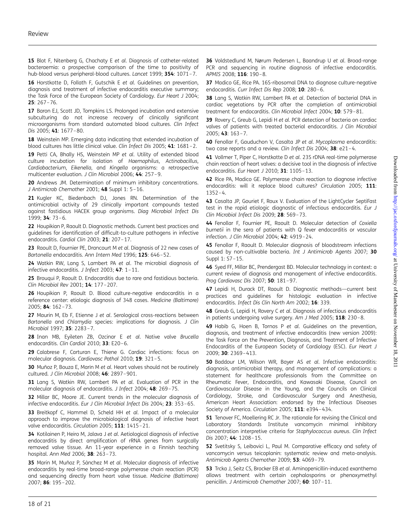<span id="page-17-0"></span>15 Blot F, Nitenberg G, Chachaty E et al. Diagnosis of catheter-related bacteraemia: a prospective comparison of the time to positivity of hub-blood versus peripheral-blood cultures. Lancet 1999; 354: 1071–7.

16 Horstkotte D, Follath F, Gutschik E et al. Guidelines on prevention, diagnosis and treatment of infective endocarditis executive summary; the Task Force of the European Society of Cardiology. Eur Heart J 2004; 25: 267–76.

17 Baron EJ, Scott JD, Tompkins LS. Prolonged incubation and extensive subculturing do not increase recovery of clinically significant microorganisms from standard automated blood cultures. Clin Infect Dis 2005; 41: 1677 –80.

18 Weinstein MP. Emerging data indicating that extended incubation of blood cultures has little clinical value. Clin Infect Dis 2005; 41: 1681–2.

19 Petti CA, Bhally HS, Weinstein MP et al. Utility of extended blood culture incubation for isolation of Haemophilus, Actinobacillus, Cardiobacterium, Eikenella, and Kingella organisms: a retrospective multicenter evaluation. J Clin Microbiol 2006: 44: 257-9.

20 Andrews JM. Determination of minimum inhibitory concentrations. J Antimicrob Chemother 2001; 48 Suppl 1: 5–16.

21 Kugler KC, Biedenbach DJ, Jones RN. Determination of the antimicrobial activity of 29 clinically important compounds tested against fastidious HACEK group organisms. Diag Microbiol Infect Dis 1999; 34: 73–6.

22 Houpikian P, Raoult D. Diagnostic methods. Current best practices and guidelines for identification of difficult-to-culture pathogens in infective endocarditis. Cardiol Clin 2003; 21: 207–17.

23 Raoult D, Fournier PE, Drancourt M et al. Diagnosis of 22 new cases of Bartonella endocarditis. Ann Intern Med 1996; 125: 646–52.

24 Watkin RW, Lang S, Lambert PA et al. The microbial diagnosis of infective endocarditis. J Infect 2003; 47: 1–11.

25 Brouqui P, Raoult D. Endocarditis due to rare and fastidious bacteria. Clin Microbiol Rev 2001; 14: 177–207.

26 Houpikian P, Raoult D. Blood culture-negative endocarditis in a reference center: etiologic diagnosis of 348 cases. Medicine (Baltimore) 2005; 84: 162–73.

27 Maurin M, Eb F, Etienne J et al. Serological cross-reactions between Bartonella and Chlamydia species: implications for diagnosis. J Clin Microbiol 1997; 35: 2283–7.

28 Inan MB, Eyileten ZB, Ozcinar E et al. Native valve Brucella endocarditis. Clin Cardiol 2010; 33: E20–6.

29 Calabrese F, Carturan E, Thiene G. Cardiac infections: focus on molecular diagnosis. Cardiovasc Pathol 2010; 19: 321–5.

30 Muñoz P, Bouza E, Marín M et al. Heart valves should not be routinely cultured. J Clin Microbiol 2008; 46: 2897–901.

31 Lang S, Watkin RW, Lambert PA et al. Evaluation of PCR in the molecular diagnosis of endocarditis. J Infect 2004; 48: 269–75.

32 Millar BC, Moore JE. Current trends in the molecular diagnosis of infective endocarditis. Eur J Clin Microbiol Infect Dis 2004; 23: 353–65.

33 Breitkopf C, Hammel D, Scheld HH et al. Impact of a molecular approach to improve the microbiological diagnosis of infective heart valve endocarditis. Circulation 2005; 111: 1415-21.

34 Kotilainen P, Heiro M, Jalava J et al. Aetiological diagnosis of infective endocarditis by direct amplification of rRNA genes from surgically removed valve tissue. An 11-year experience in a Finnish teaching hospital. Ann Med 2006; 38: 263–73.

35 Marín M, Muñoz P, Sánchez M et al. Molecular diagnosis of infective endocarditis by real-time broad-range polymerase chain reaction (PCR) and sequencing directly from heart valve tissue. Medicine (Baltimore) 2007; 86: 195–202.

36 Voldstedlund M, Nørum Pedersen L, Baandrup U et al. Broad-range PCR and sequencing in routine diagnosis of infective endocarditis. APMIS 2008; 116: 190-8.

37 Madico GE, Rice PA. 16S-ribosomal DNA to diagnose culture-negative endocarditis. Curr Infect Dis Rep 2008; 10: 280–6.

38 Lang S, Watkin RW, Lambert PA et al. Detection of bacterial DNA in cardiac vegetations by PCR after the completion of antimicrobial treatment for endocarditis. Clin Microbiol Infect 2004; 10: 579-81.

39 Rovery C, Greub G, Lepidi H et al. PCR detection of bacteria on cardiac valves of patients with treated bacterial endocarditis. J Clin Microbiol 2005; 43: 163–7.

40 Fenollar F, Gauduchon V, Casalta JP et al. Mycoplasma endocarditis: two case reports and a review. Clin Infect Dis 2004; 38: e21-4.

41 Vollmer T, Piper C, Horstkotte D et al. 23S rDNA real-time polymerase chain reaction of heart valves: a decisive tool in the diagnosis of infective endocarditis. Eur Heart J 2010; 31: 1105-13.

42 Rice PA, Madico GE. Polymerase chain reaction to diagnose infective endocarditis: will it replace blood cultures? Circulation 2005; 111: 1352–4.

43 Casalta JP, Gouriet F, Roux V. Evaluation of the LightCycler SeptiFast test in the rapid etiologic diagnostic of infectious endocarditis. Eur J Clin Microbiol Infect Dis 2009; 28: 569–73.

44 Fenollar F, Fournier PE, Raoult D. Molecular detection of Coxiella burnetii in the sera of patients with Q fever endocarditis or vascular infection. J Clin Microbiol 2004; 42: 4919 –24.

45 Fenollar F, Raoult D. Molecular diagnosis of bloodstream infections caused by non-cultivable bacteria. Int J Antimicrob Agents 2007; 30 Suppl 1: S7–15.

46 Syed FF, Millar BC, Prendergast BD. Molecular technology in context: a current review of diagnosis and management of infective endocarditis. Prog Cardiovasc Dis 2007; 50: 181-97.

47 Lepidi H, Durack DT, Raoult D. Diagnostic methods—current best practices and guidelines for histologic evaluation in infective endocarditis. Infect Dis Clin North Am 2002; 16: 339.

48 Greub G, Lepidi H, Rovery C et al. Diagnosis of infectious endocarditis in patients undergoing valve surgery. Am J Med 2005; 118: 230–8.

49 Habib G, Hoen B, Tornos P et al. Guidelines on the prevention, diagnosis, and treatment of infective endocarditis (new version 2009): the Task Force on the Prevention, Diagnosis, and Treatment of Infective Endocarditis of the European Society of Cardiology (ESC). Eur Heart J 2009; 30: 2369–413.

50 Baddour LM, Wilson WR, Bayer AS et al. Infective endocarditis: diagnosis, antimicrobial therapy, and management of complications: a statement for healthcare professionals from the Committee on Rheumatic Fever, Endocarditis, and Kawasaki Disease, Council on Cardiovascular Disease in the Young, and the Councils on Clinical Cardiology, Stroke, and Cardiovascular Surgery and Anesthesia, American Heart Association: endorsed by the Infectious Diseases Society of America. Circulation 2005; 111: e394-434.

51 Tenover FC, Moellering RC Jr. The rationale for revising the Clinical and Laboratory Standards Institute vancomycin minimal inhibitory concentration interpretive criteria for Staphylococcus aureus. Clin Infect Dis 2007; 44: 1208-15.

52 Svetitsky S, Leibovici L, Paul M. Comparative efficacy and safety of vancomycin versus teicoplanin: systematic review and meta-analysis. Antimicrob Agents Chemother 2009; 53: 4069–79.

53 Trcka J, Seitz CS, Brocker EB et al. Aminopenicillin-induced exanthema allows treatment with certain cephalosporins or phenoxymethyl penicillin. J Antimicrob Chemother 2007; 60: 107-11.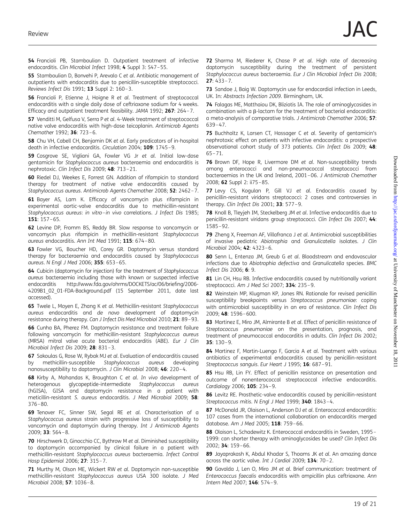<span id="page-18-0"></span>54 Francioli PB, Stamboulian D. Outpatient treatment of infective endocarditis. Clin Microbiol Infect 1998; 4 Suppl 3: S47–55.

55 Stamboulian D, Bonvehi P, Arevalo C et al. Antibiotic management of outpatients with endocarditis due to penicillin-susceptible streptococci. Reviews Infect Dis 1991; 13 Suppl 2: 160-3.

56 Francioli P, Etienne J, Hoigne R et al. Treatment of streptococcal endocarditis with a single daily dose of ceftriaxone sodium for 4 weeks. Efficacy and outpatient treatment feasibility. JAMA 1992; 267: 264–7.

57 Venditti M, Gelfusa V, Serra P et al. 4-Week treatment of streptococcal native valve endocarditis with high-dose teicoplanin. Antimicrob Agents Chemother 1992; 36: 723–6.

58 Chu VH, Cabell CH, Benjamin DK et al. Early predicators of in-hospital death in infective endocarditis. Circulation 2004; 109: 1745–9.

59 Cosgrove SE, Vigliani GA, Fowler VG Jr et al. Initial low-dose gentamicin for Staphylococcus aureus bacteraemia and endocarditis is nephrotoxic. Clin Infect Dis 2009; 48: 713–21.

60 Riedel DJ, Weekes E, Forrest GN. Addition of rifampicin to standard therapy for treatment of native valve endocarditis caused by Staphylococcus aureus. Antimicrob Agents Chemother 2008; 52: 2462–7.

61 Bayer AS, Lam K. Efficacy of vancomycin plus rifampicin in experimental aortic-valve endocarditis due to methicillin-resistant Staphylococcus aureus: in vitro–in vivo correlations. J Infect Dis 1985; 151: 157–65.

62 Levine DP, Fromm BS, Reddy BR. Slow response to vancomycin or vancomycin plus rifampicin in methicillin-resistant Staphylococcus aureus endocarditis. Ann Int Med 1991; 115: 674–80.

63 Fowler VG, Boucher HD, Corey GR. Daptomycin versus standard therapy for bacteraemia and endocarditis caused by Staphylococcus aureus. N Engl J Med 2006; 355: 653-65.

64 Cubicin (daptomycin for injection) for the treatment of Staphylococcus aureus bacteraemia including those with known or suspected infective endocarditis [http://www.fda.gov/ohrms/DOCKETS/ac/06/briefing/2006-](http://www.fda.gov/ohrms/DOCKETS/ac/06/briefing/2006-4209B1_02_01-FDA-Background.pdf) [4209B1\\_02\\_01-FDA-Background.pdf](http://www.fda.gov/ohrms/DOCKETS/ac/06/briefing/2006-4209B1_02_01-FDA-Background.pdf) (15 September 2011, date last accessed).

65 Twele L, Moyen E, Zhang K et al. Methicillin-resistant Staphylococcus aureus endocarditis and de novo development of daptomycin resistance during therapy. Can J Infect Dis Med Microbiol 2010; 21: 89 –93.

66 Cunha BA, Pherez FM. Daptomycin resistance and treatment failure following vancomycin for methicillin-resistant Staphylococcus aureus (MRSA) mitral valve acute bacterial endocarditis (ABE). Eur J Clin Microbiol Infect Dis 2009; 28: 831-3.

67 Sakoulas G, Rose W, Rybak MJ et al. Evaluation of endocarditis caused by methicillin-susceptible Staphylococcus aureus developing nanosusceptibility to daptomycin. J Clin Microbiol 2008; 46: 220–4.

68 Kirby A, Mohandas K, Broughton C et al. In vivo development of heterogenous glycopeptide-intermediate Staphylococcus aureus (hGISA), GISA and daptomycin resistance in a patient with meticillin-resistant S. aureus endocarditis. J Med Microbiol 2009; 58: 376–80.

69 Tenover FC, Sinner SW, Segal RE et al. Characterisation of a Staphylococcus aureus strain with progressive loss of susceptibility to vancomycin and daptomycin during therapy. Int J Antimicrob Agents 2009; 33: 564–8.

70 Hirschwerk D, Ginocchio CC, Bythrow M et al. Diminished susceptibility to daptomycin accompanied by clinical failure in a patient with methicillin-resistant Staphylococcus aureus bacteraemia. Infect Control Hosp Epidemiol 2006; 27: 315–7.

71 Murthy M, Olson ME, Wickert RW et al. Daptomycin non-susceptible methicillin-resistant Staphylococcus aureus USA 300 isolate. J Med Microbiol 2008; 57: 1036–8.

72 Sharma M, Riederer K, Chase P et al. High rate of decreasing daptomycin susceptibility during the treatment of persistent Staphylococcus aureus bacteraemia. Eur J Clin Microbiol Infect Dis 2008;  $27:433-7.$ 

73 Sandoe J, Baig W. Daptomycin use for endocardial infection in Leeds, UK. In: Abstracts Infection 2009. Birmingham, UK.

74 Falagas ME, Matthaiou DK, Bliziotis IA. The role of aminoglycosides in combination with a  $\beta$ -lactam for the treatment of bacterial endocarditis: a meta-analysis of comparative trials. J Antimicrob Chemother 2006; 57: 639–47.

75 Buchholtz K, Larsen CT, Hassager C et al. Severity of gentamicin's nephrotoxic effect on patients with infective endocarditis: a prospective observational cohort study of 373 patients. Clin Infect Dis 2009; 48: 65–71.

76 Brown DF, Hope R, Livermore DM et al. Non-susceptibility trends among enterococci and non-pneumococcal streptococci from bacteraemias in the UK and Ireland, 2001 –06. J Antimicrob Chemother 2008; 62 Suppl 2: ii75 –85.

77 Levy CS, Kogulan P, Gill VJ et al. Endocarditis caused by penicillin-resistant viridans streptococci: 2 cases and controversies in therapy. Clin Infect Dis 2001; 33: 577-9.

78 Knoll B, Tleyjeh IM, Steckelberg JM et al. Infective endocarditis due to penicillin-resistant viridans group streptococci. Clin Infect Dis 2007; 44: 1585–92.

79 Zheng X, Freeman AF, Villafranca J et al. Antimicrobial susceptibilities of invasive pediatric Abiotrophia and Granulicatella isolates. J Clin Microbiol 2004; 42: 4323–6.

80 Senn L, Entenza JM, Greub G et al. Bloodstream and endovascular infections due to Abiotrophia defectiva and Granulicatella species. BMC Infect Dis 2006; 6: 9.

81 Lin CH, Hsu RB. Infective endocarditis caused by nutritionally variant streptococci. Am J Med Sci 2007; 334: 235-9.

82 Weinstein MP, Klugman KP, Jones RN. Rationale for revised penicillin susceptibility breakpoints versus Streptococcus pneumoniae: coping with antimicrobial susceptibility in an era of resistance. Clin Infect Dis 2009; 48: 1596–600.

83 Martinez E, Miro JM, Almirante B et al. Effect of penicillin resistance of Streptococcus pneumoniae on the presentation, prognosis, and treatment of pneumococcal endocarditis in adults. Clin Infect Dis 2002; 35: 130–9.

84 Martinez F, Martin-Luengo F, Garcia A et al. Treatment with various antibiotics of experimental endocarditis caused by penicillin-resistant Streptococcus sanguis. Eur Heart J 1995; 16: 687-91.

85 Hsu RB, Lin FY. Effect of penicillin resistance on presentation and outcome of nonenterococcal streptococcal infective endocarditis. Cardiology 2006; **105**: 234-9.

86 Levitz RE. Prosthetic-valve endocarditis caused by penicillin-resistant Streptococcus mitis. N Engl J Med 1999; 340: 1843-4.

87 McDonald JR, Olaison L, Anderson DJ et al. Enterococcal endocarditis: 107 cases from the international collaboration on endocarditis merged database. Am J Med 2005; 118: 759-66.

88 Olaison L, Schadewitz K. Enterococcal endocarditis in Sweden, 1995-1999: can shorter therapy with aminoglycosides be used? Clin Infect Dis 2002; 34: 159–66.

89 Jayaprakash K, Abdul Khadar S, Thoams JK et al. An amazing dance across the aortic valve. Int J Cardiol 2009; 134: 70–2.

90 Gavalda J, Len O, Miro JM et al. Brief communication: treatment of Enterococcus faecalis endocarditis with ampicillin plus ceftriaxone. Ann Intern Med 2007; 146: 574-9.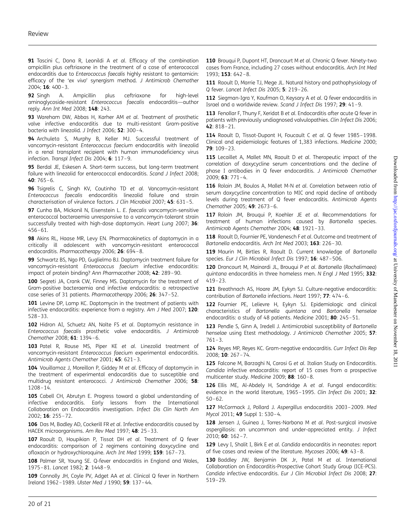<span id="page-19-0"></span>91 Tascini C, Dona R, Leonildi A et al. Efficacy of the combination ampicillin plus ceftriaxone in the treatment of a case of enterococcal endocarditis due to Enterococcus faecalis highly resistant to gentamicin: efficacy of the 'ex vivo' synergism method. J Antimicrob Chemother 2004; 16: 400–3.

92 Singh A. Ampicillin plus ceftriaxone for high-level aminoglycoside-resistant Enterococcus faecalis endocarditis—author reply. Ann Int Med 2008; 148: 243.

93 Wareham DW, Abbas H, Karher AM et al. Treatment of prosthetic valve infective endocarditis due to multi-resistant Gram-positive bacteria with linezolid. J Infect 2006; 52: 300–4.

94 Archuleta S, Murphy B, Keller MJ. Successful treatment of vancomycin-resistant Enterococcus faecium endocarditis with linezolid in a renal transplant recipient with human immunodeficiency virus infection. Transpl Infect Dis 2004; 6: 117–9.

95 Berdal JE, Eskesen A. Short-term success, but long-term treatment failure with linezolid for enterococcal endocarditis. Scand J Infect 2008;  $40.765 - 6$ 

96 Tsigrelis C, Singh KV, Coutinho TD et al. Vancomycin-resistant Enterococcus faecalis endocarditis linezolid failure and strain characterisation of virulence factors. J Clin Microbiol 2007; 45: 631-5.

97 Cunha BA, Mickonil N, Eisenstein L. E. faecalis vancomycin-sensitive enterococcal bacteraemia unresponsive to a vancomycin-tolerant strain successfully treated with high-dose daptomycin. Heart Lung 2007; 36: 456–61.

98 Akins RL, Haase MR, Levy EN. Pharmacokinetics of daptomycin in a critically ill adolescent with vancomycin-resistant enterococcal endocarditis. Pharmacotherapy 2006; 26: 694–8.

99 Schwartz BS, Ngo PD, Guglielmo BJ. Daptomycin treatment failure for vancomycin-resistant Enterococcus faecium infective endocarditis: impact of protein binding? Ann Pharmacother 2008; 42: 289–90.

100 Segreti JA, Crank CW, Finney MS. Daptomycin for the treatment of Gram-positive bacteraemia and infective endocarditis: a retrospective case series of 31 patients. Pharmacotherapy 2006; 26: 347–52.

101 Levine DP, Lamp KC. Daptomycin in the treatment of patients with infective endocarditis: experience from a registry. Am J Med 2007; 120: 528–33.

102 Hidron AI, Schuetz AN, Nolte FS et al. Daptomycin resistance in Enterococcus faecalis prosthetic valve endocarditis. J Antimicrob Chemother 2008; 61: 1394 –6.

103 Patel R, Rouse MS, Piper KE et al. Linezolid treatment of vancomycin-resistant Enterococcus faecium experimental endocarditis. Antimicrob Agents Chemother 2001; 45: 621–3.

104 Vouillamoz J, Moreillon P, Giddey M et al. Efficacy of daptomycin in the treatment of experimental endocarditis due to susceptible and multidrug resistant enterococci. J Antimicrob Chemother 2006; 58: 1208–14.

105 Cabell CH, Abrutyn E. Progress toward a global understanding of infective endocarditis. Early lessons from the International Collaboration on Endocarditis investigation. Infect Dis Clin North Am 2002; 16: 255–72.

106 Das M, Badley AD, Cockerill FR et al. Infective endocarditis caused by HACEK microorganisms. Am Rev Med 1997; 48: 25–33.

107 Raoult D, Houpikian P, Tissot DH et al. Treatment of Q fever endocarditis: comparison of 2 regimens containing doxycycline and ofloxacin or hydroxychloroquine. Arch Int Med 1999; 159: 167–73.

108 Palmer SR, Young SE. Q-fever endocarditis in England and Wales, 1975–81. Lancet 1982; 2: 1448 –9.

109 Connolly JH, Coyle PV, Adget AA et al. Clinical Q fever in Northern Ireland 1962 –1989. Ulster Med J 1990; 59: 137–44.

110 Brouqui P, Dupont HT, Drancourt M et al. Chronic Q fever. Ninety-two cases from France, including 27 cases without endocarditis. Arch Int Med 1993; 153: 642–8.

111 Raoult D, Marrie TJ, Mege JL. Natural history and pathophysiology of Q fever. Lancet Infect Dis 2005; 5: 219–26.

112 Siegman-Igra Y, Kaufman O, Keysary A et al. Q fever endocarditis in Israel and a worldwide review. Scand J Infect Dis 1997; 29: 41–9.

113 Fenollar F, Thuny F, Xeridat B et al. Endocarditis after acute Q fever in patients with previously undiagnosed valvulopathies. Clin Infect Dis 2006; 42: 818–21.

114 Raoult D. Tissot-Dupont H. Foucault C et al. Q fever 1985-1998. Clinical and epidemiologic features of 1,383 infections. Medicine 2000; 79: 109–23.

115 Lecaillet A, Mallet MN, Raoult D et al. Therapeutic impact of the correlation of doxycycline serum concentrations and the decline of phase I antibodies in Q fever endocarditis. J Antimicrob Chemother 2009; 63: 771–4.

116 Rolain JM, Boulos A, Mallet M-N et al. Correlation between ratio of serum doxycycline concentration to MIC and rapid decline of antibody levels during treatment of Q fever endocarditis. Antimicrob Agents Chemother 2005; 49: 2673 –6.

117 Rolain JM, Brouqui P, Koehler JE et al. Recommendations for treatment of human infections caused by Bartonella species. Antimicrob Agents Chemother 2004; 48: 1921-33.

118 Raoult D, Fournier PE, Vandenesch F et al. Outcome and treatment of Bartonella endocarditis. Arch Int Med 2003; 163: 226-30.

119 Maurin M, Birtles R, Raoult D. Current knowledge of Bartonella species. Eur J Clin Microbiol Infect Dis 1997; 16: 487-506.

120 Drancourt M, Mainardi JL, Brouqui P et al. Bartonella (Rochalimaea) quintana endocarditis in three homeless men. N Engl J Med 1995; 332: 419–23.

121 Breathnach AS, Hoare JM, Eykyn SJ. Culture-negative endocarditis: contribution of Bartonella infections. Heart 1997; 77: 474–6.

122 Fournier PE, Lelievre H, Eykyn SJ. Epidemiologic and clinical characteristics of Bartonella quintana and Bartonella henselae endocarditis: a study of 48 patients. Medicine 2001; 80: 245-51.

123 Pendle S, Ginn A, Iredell J, Antimicrobial susceptibility of Bartonella henselae using Etest methodology. J Antimicrob Chemother 2005; 57: 761–3.

124 Reyes MP, Reyes KC. Gram-negative endocarditis. Curr Infect Dis Rep 2008; 10: 267–74.

125 Falcone M, Barzaghi N, Carosi G et al. Italian Study on Endocarditis. Candida infective endocarditis: report of 15 cases from a prospective multicenter study. Medicine 2009; 88: 160–8.

126 Ellis ME, Al-Abdely H, Sandridge A et al. Fungal endocarditis: evidence in the world literature, 1965-1995. Clin Infect Dis 2001; 32: 50–62.

127 McCormack J, Pollard J. Aspergillus endocarditis 2003-2009. Med Mycol 2011; 49 Suppl 1: S30–4.

128 Jensen J, Guinea J, Torres-Narbona M et al. Post-surgical invasive aspergillosis: an uncommon and under-appreciated entity. J Infect 2010; 60: 162–7.

129 Levy I, Shalit I, Birk E et al. Candida endocarditis in neonates: report of five cases and review of the literature. Mycoses 2006; 49: 43-8.

130 Baddley JW, Benjamin DK Jr, Patel M et al. International Collaboration on Endocarditis-Prospective Cohort Study Group (ICE-PCS). Candida infective endocarditis. Eur J Clin Microbiol Infect Dis 2008; 27: 519–29.